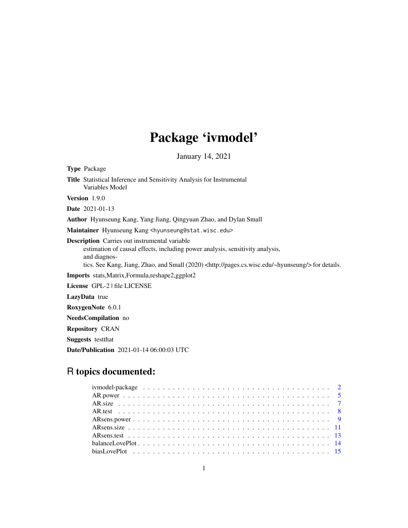# Package 'ivmodel'

January 14, 2021

<span id="page-0-0"></span>Type Package Title Statistical Inference and Sensitivity Analysis for Instrumental Variables Model Version 1.9.0 Date 2021-01-13 Author Hyunseung Kang, Yang Jiang, Qingyuan Zhao, and Dylan Small Maintainer Hyunseung Kang <hyunseung@stat.wisc.edu> Description Carries out instrumental variable estimation of causal effects, including power analysis, sensitivity analysis, and diagnostics. See Kang, Jiang, Zhao, and Small (2020) <http://pages.cs.wisc.edu/~hyunseung/> for details. Imports stats,Matrix,Formula,reshape2,ggplot2 License GPL-2 | file LICENSE LazyData true RoxygenNote 6.0.1 NeedsCompilation no

Repository CRAN Suggests testthat

Date/Publication 2021-01-14 06:00:03 UTC

# R topics documented: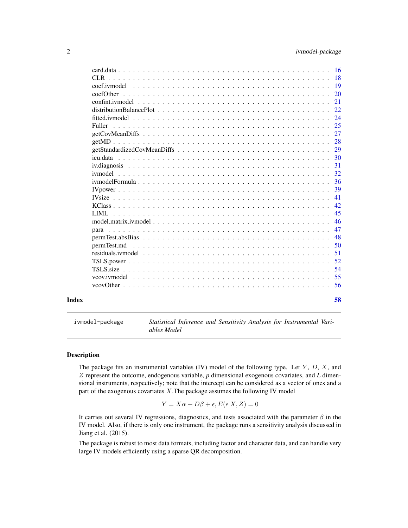<span id="page-1-0"></span>

|               |  |  |  |  |  |  |  |  |  |  | 58       |
|---------------|--|--|--|--|--|--|--|--|--|--|----------|
|               |  |  |  |  |  |  |  |  |  |  |          |
|               |  |  |  |  |  |  |  |  |  |  | 55       |
|               |  |  |  |  |  |  |  |  |  |  | 54       |
|               |  |  |  |  |  |  |  |  |  |  | 52       |
|               |  |  |  |  |  |  |  |  |  |  | 51       |
|               |  |  |  |  |  |  |  |  |  |  | 50       |
|               |  |  |  |  |  |  |  |  |  |  | 48       |
|               |  |  |  |  |  |  |  |  |  |  | 47       |
|               |  |  |  |  |  |  |  |  |  |  | 46       |
|               |  |  |  |  |  |  |  |  |  |  | 45       |
|               |  |  |  |  |  |  |  |  |  |  | 42       |
|               |  |  |  |  |  |  |  |  |  |  | 41       |
|               |  |  |  |  |  |  |  |  |  |  | 39       |
|               |  |  |  |  |  |  |  |  |  |  | 36       |
|               |  |  |  |  |  |  |  |  |  |  | 32       |
|               |  |  |  |  |  |  |  |  |  |  | 31       |
|               |  |  |  |  |  |  |  |  |  |  | 30       |
|               |  |  |  |  |  |  |  |  |  |  | 29       |
|               |  |  |  |  |  |  |  |  |  |  | 28       |
|               |  |  |  |  |  |  |  |  |  |  | 27       |
| <b>Fuller</b> |  |  |  |  |  |  |  |  |  |  | 25       |
|               |  |  |  |  |  |  |  |  |  |  | 24       |
|               |  |  |  |  |  |  |  |  |  |  | 21<br>22 |
|               |  |  |  |  |  |  |  |  |  |  | 20       |
|               |  |  |  |  |  |  |  |  |  |  | -19      |
|               |  |  |  |  |  |  |  |  |  |  | -18      |
|               |  |  |  |  |  |  |  |  |  |  |          |
|               |  |  |  |  |  |  |  |  |  |  |          |

ivmodel-package *Statistical Inference and Sensitivity Analysis for Instrumental Variables Model*

#### Description

The package fits an instrumental variables (IV) model of the following type. Let  $Y$ ,  $D$ ,  $X$ , and Z represent the outcome, endogenous variable, *p* dimensional exogenous covariates, and *L* dimensional instruments, respectively; note that the intercept can be considered as a vector of ones and a part of the exogenous covariates  $X$ . The package assumes the following IV model

$$
Y = X\alpha + D\beta + \epsilon, E(\epsilon|X, Z) = 0
$$

It carries out several IV regressions, diagnostics, and tests associated with the parameter  $\beta$  in the IV model. Also, if there is only one instrument, the package runs a sensitivity analysis discussed in Jiang et al. (2015).

The package is robust to most data formats, including factor and character data, and can handle very large IV models efficiently using a sparse QR decomposition.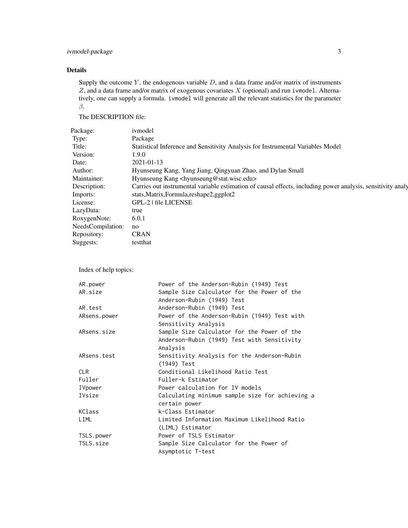# Details

Supply the outcome  $Y$ , the endogenous variable  $D$ , and a data frame and/or matrix of instruments  $Z$ , and a data frame and/or matrix of exogenous covariates  $X$  (optional) and run ivmodel. Alternatively, one can supply a formula. ivmodel will generate all the relevant statistics for the parameter β.

The DESCRIPTION file:

| ivmodel                                                                                                     |
|-------------------------------------------------------------------------------------------------------------|
| Package                                                                                                     |
| Statistical Inference and Sensitivity Analysis for Instrumental Variables Model                             |
| 1.9.0                                                                                                       |
| 2021-01-13                                                                                                  |
| Hyunseung Kang, Yang Jiang, Qingyuan Zhao, and Dylan Small                                                  |
| Hyunseung Kang <hyunseung@stat.wisc.edu></hyunseung@stat.wisc.edu>                                          |
| Carries out instrumental variable estimation of causal effects, including power analysis, sensitivity analy |
| stats, Matrix, Formula, reshape2, ggplot2                                                                   |
| GPL-2   file LICENSE                                                                                        |
| true                                                                                                        |
| 6.0.1                                                                                                       |
| no                                                                                                          |
| <b>CRAN</b>                                                                                                 |
| testthat                                                                                                    |
|                                                                                                             |

Index of help topics:

| AR.power     | Power of the Anderson-Rubin (1949) Test         |
|--------------|-------------------------------------------------|
| AR.size      | Sample Size Calculator for the Power of the     |
|              | Anderson-Rubin (1949) Test                      |
| AR.test      | Anderson-Rubin (1949) Test                      |
| ARsens.power | Power of the Anderson-Rubin (1949) Test with    |
|              | Sensitivity Analysis                            |
| ARsens.size  | Sample Size Calculator for the Power of the     |
|              | Anderson-Rubin (1949) Test with Sensitivity     |
|              | Analysis                                        |
| ARsens.test  | Sensitivity Analysis for the Anderson-Rubin     |
|              | (1949) Test                                     |
| <b>CLR</b>   | Conditional Likelihood Ratio Test               |
| Fuller       | Fuller-k Estimator                              |
| IVpower      | Power calculation for IV models                 |
| IVsize       | Calculating minimum sample size for achieving a |
|              | certain power                                   |
| KClass       | k-Class Estimator                               |
| LIML         | Limited Information Maximum Likelihood Ratio    |
|              | (LIML) Estimator                                |
| TSLS.power   | Power of TSLS Estimator                         |
| TSLS.size    | Sample Size Calculator for the Power of         |
|              | Asymptotic T-test                               |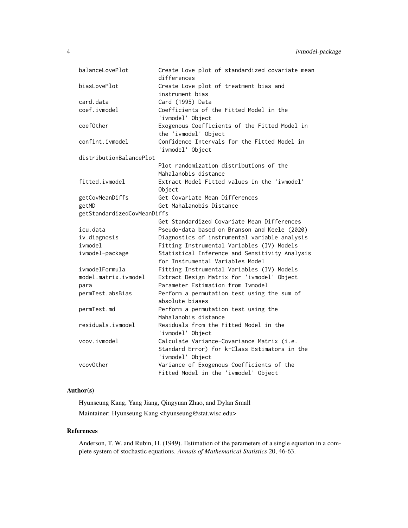| balanceLovePlot             | Create Love plot of standardized covariate mean<br>differences |
|-----------------------------|----------------------------------------------------------------|
| biasLovePlot                | Create Love plot of treatment bias and                         |
|                             | instrument bias                                                |
| card.data                   | Card (1995) Data                                               |
| coef.ivmodel                | Coefficients of the Fitted Model in the                        |
|                             | 'ivmodel' Object                                               |
| coef0ther                   | Exogenous Coefficients of the Fitted Model in                  |
|                             | the 'ivmodel' Object                                           |
| confint.ivmodel             | Confidence Intervals for the Fitted Model in                   |
|                             | 'ivmodel' Object                                               |
| distributionBalancePlot     |                                                                |
|                             | Plot randomization distributions of the                        |
|                             | Mahalanobis distance                                           |
| fitted.ivmodel              | Extract Model Fitted values in the 'ivmodel'                   |
|                             | Object                                                         |
| getCovMeanDiffs             | Get Covariate Mean Differences                                 |
| getMD                       | Get Mahalanobis Distance                                       |
| getStandardizedCovMeanDiffs |                                                                |
|                             | Get Standardized Covariate Mean Differences                    |
| icu.data                    | Pseudo-data based on Branson and Keele (2020)                  |
| iv.diagnosis                | Diagnostics of instrumental variable analysis                  |
| ivmodel                     | Fitting Instrumental Variables (IV) Models                     |
| ivmodel-package             | Statistical Inference and Sensitivity Analysis                 |
|                             | for Instrumental Variables Model                               |
| ivmodelFormula              | Fitting Instrumental Variables (IV) Models                     |
| model.matrix.ivmodel        | Extract Design Matrix for 'ivmodel' Object                     |
| para                        | Parameter Estimation from Ivmodel                              |
| permTest.absBias            | Perform a permutation test using the sum of                    |
|                             | absolute biases                                                |
| permTest.md                 | Perform a permutation test using the                           |
|                             | Mahalanobis distance                                           |
| residuals.ivmodel           | Residuals from the Fitted Model in the                         |
|                             | 'ivmodel' Object                                               |
| vcov.ivmodel                | Calculate Variance-Covariance Matrix (i.e.                     |
|                             | Standard Error) for k-Class Estimators in the                  |
|                             | 'ivmodel' Object                                               |
| vcov0ther                   | Variance of Exogenous Coefficients of the                      |
|                             | Fitted Model in the 'ivmodel' Object                           |

# Author(s)

Hyunseung Kang, Yang Jiang, Qingyuan Zhao, and Dylan Small Maintainer: Hyunseung Kang <hyunseung@stat.wisc.edu>

# References

Anderson, T. W. and Rubin, H. (1949). Estimation of the parameters of a single equation in a complete system of stochastic equations. *Annals of Mathematical Statistics* 20, 46-63.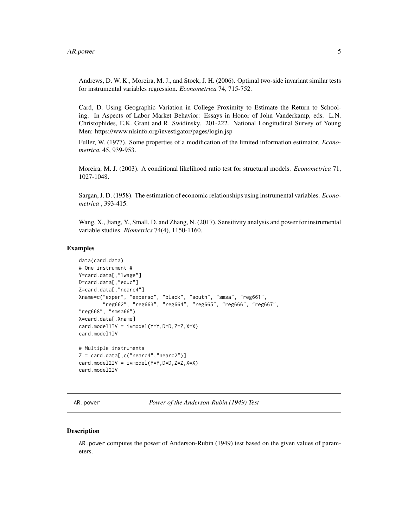<span id="page-4-0"></span>Andrews, D. W. K., Moreira, M. J., and Stock, J. H. (2006). Optimal two-side invariant similar tests for instrumental variables regression. *Econometrica* 74, 715-752.

Card, D. Using Geographic Variation in College Proximity to Estimate the Return to Schooling. In Aspects of Labor Market Behavior: Essays in Honor of John Vanderkamp, eds. L.N. Christophides, E.K. Grant and R. Swidinsky. 201-222. National Longitudinal Survey of Young Men: https://www.nlsinfo.org/investigator/pages/login.jsp

Fuller, W. (1977). Some properties of a modification of the limited information estimator. *Econometrica*, 45, 939-953.

Moreira, M. J. (2003). A conditional likelihood ratio test for structural models. *Econometrica* 71, 1027-1048.

Sargan, J. D. (1958). The estimation of economic relationships using instrumental variables. *Econometrica* , 393-415.

Wang, X., Jiang, Y., Small, D. and Zhang, N. (2017), Sensitivity analysis and power for instrumental variable studies. *Biometrics* 74(4), 1150-1160.

#### Examples

```
data(card.data)
# One instrument #
Y=card.data[,"lwage"]
D=card.data[,"educ"]
Z=card.data[,"nearc4"]
Xname=c("exper", "expersq", "black", "south", "smsa", "reg661",
        "reg662", "reg663", "reg664", "reg665", "reg666", "reg667",
"reg668", "smsa66")
X=card.data[,Xname]
card.model1IV = ivmodel(Y=Y, D=D, Z=Z, X=X)card.model1IV
# Multiple instruments
Z = \text{card.data}, c("nearc4", "nearc2")card.model2IV = ivmodel(Y=Y,D=D,Z=Z,X=X)
card.model2IV
```
<span id="page-4-1"></span>AR.power *Power of the Anderson-Rubin (1949) Test*

#### **Description**

AR.power computes the power of Anderson-Rubin (1949) test based on the given values of parameters.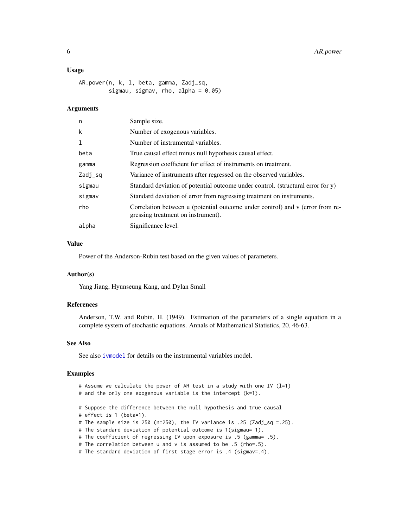#### <span id="page-5-0"></span>Usage

```
AR.power(n, k, l, beta, gamma, Zadj_sq,
         sigmau, sigmav, rho, alpha = 0.05)
```
#### **Arguments**

| n       | Sample size.                                                                                                        |
|---------|---------------------------------------------------------------------------------------------------------------------|
| k       | Number of exogenous variables.                                                                                      |
| 1       | Number of instrumental variables.                                                                                   |
| beta    | True causal effect minus null hypothesis causal effect.                                                             |
| gamma   | Regression coefficient for effect of instruments on treatment.                                                      |
| Zadj_sq | Variance of instruments after regressed on the observed variables.                                                  |
| sigmau  | Standard deviation of potential outcome under control. (structural error for $y$ )                                  |
| sigmav  | Standard deviation of error from regressing treatment on instruments.                                               |
| rho     | Correlation between u (potential outcome under control) and v (error from re-<br>gressing treatment on instrument). |
| alpha   | Significance level.                                                                                                 |

# Value

Power of the Anderson-Rubin test based on the given values of parameters.

#### Author(s)

Yang Jiang, Hyunseung Kang, and Dylan Small

# References

Anderson, T.W. and Rubin, H. (1949). Estimation of the parameters of a single equation in a complete system of stochastic equations. Annals of Mathematical Statistics, 20, 46-63.

#### See Also

See also [ivmodel](#page-31-1) for details on the instrumental variables model.

```
# Assume we calculate the power of AR test in a study with one IV (l=1)
# and the only one exogenous variable is the intercept (k=1).
# Suppose the difference between the null hypothesis and true causal
# effect is 1 (beta=1).
# The sample size is 250 (n=250), the IV variance is .25 (Zadj_sq =.25).
# The standard deviation of potential outcome is 1(sigmau= 1).
# The coefficient of regressing IV upon exposure is .5 (gamma= .5).
# The correlation between u and v is assumed to be .5 (rho=.5).
# The standard deviation of first stage error is .4 (sigmav=.4).
```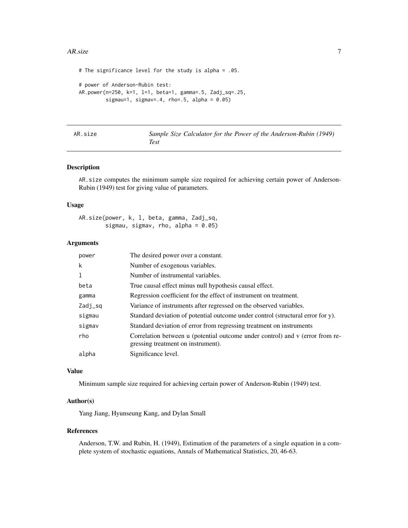#### <span id="page-6-0"></span>AR.size 7

```
# The significance level for the study is alpha = .05.
# power of Anderson-Rubin test:
AR.power(n=250, k=1, l=1, beta=1, gamma=.5, Zadj_sq=.25,
        sigmau=1, sigmav=.4, rho=.5, alpha = 0.05)
```
<span id="page-6-1"></span>

| AR.size |  |  |  |
|---------|--|--|--|
|         |  |  |  |
|         |  |  |  |

Sample Size Calculator for the Power of the Anderson-Rubin (1949) *Test*

#### Description

AR.size computes the minimum sample size required for achieving certain power of Anderson-Rubin (1949) test for giving value of parameters.

# Usage

AR.size(power, k, l, beta, gamma, Zadj\_sq, sigmau, sigmav, rho, alpha =  $0.05$ )

#### Arguments

| power   | The desired power over a constant.                                              |
|---------|---------------------------------------------------------------------------------|
| k       | Number of exogenous variables.                                                  |
| 1       | Number of instrumental variables.                                               |
| beta    | True causal effect minus null hypothesis causal effect.                         |
| gamma   | Regression coefficient for the effect of instrument on treatment.               |
| Zadj_sq | Variance of instruments after regressed on the observed variables.              |
| sigmau  | Standard deviation of potential outcome under control (structural error for y). |
| sigmav  | Standard deviation of error from regressing treatment on instruments            |
| rho     | Correlation between u (potential outcome under control) and v (error from re-   |
|         | gressing treatment on instrument).                                              |
| alpha   | Significance level.                                                             |

#### Value

Minimum sample size required for achieving certain power of Anderson-Rubin (1949) test.

#### Author(s)

Yang Jiang, Hyunseung Kang, and Dylan Small

#### References

Anderson, T.W. and Rubin, H. (1949), Estimation of the parameters of a single equation in a complete system of stochastic equations, Annals of Mathematical Statistics, 20, 46-63.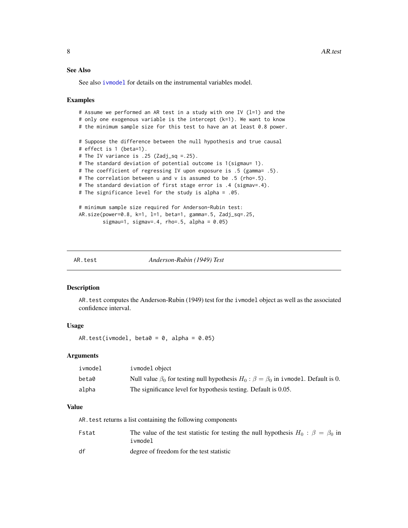# <span id="page-7-0"></span>See Also

See also [ivmodel](#page-31-1) for details on the instrumental variables model.

#### Examples

```
# Assume we performed an AR test in a study with one IV (l=1) and the
# only one exogenous variable is the intercept (k=1). We want to know
# the minimum sample size for this test to have an at least 0.8 power.
# Suppose the difference between the null hypothesis and true causal
# effect is 1 (beta=1).
# The IV variance is .25 (Zadj_sq =.25).
# The standard deviation of potential outcome is 1(sigmau= 1).
# The coefficient of regressing IV upon exposure is .5 (gamma= .5).
# The correlation between u and v is assumed to be .5 (rho=.5).
# The standard deviation of first stage error is .4 (sigmav=.4).
# The significance level for the study is alpha = .05.
# minimum sample size required for Anderson-Rubin test:
AR.size(power=0.8, k=1, l=1, beta=1, gamma=.5, Zadj_sq=.25,
        sigmau=1, sigmav=.4, rho=.5, alpha = 0.05)
```
<span id="page-7-1"></span>

AR.test *Anderson-Rubin (1949) Test*

#### Description

AR.test computes the Anderson-Rubin (1949) test for the ivmodel object as well as the associated confidence interval.

# Usage

AR.test(ivmodel, beta $0 = 0$ , alpha = 0.05)

# Arguments

| ivmodel | ivmodel object                                                                                       |
|---------|------------------------------------------------------------------------------------------------------|
| beta0   | Null value $\beta_0$ for testing null hypothesis $H_0$ : $\beta = \beta_0$ in ivmodel. Default is 0. |
| alpha   | The significance level for hypothesis testing. Default is 0.05.                                      |

# Value

AR.test returns a list containing the following components

| Fstat | The value of the test statistic for testing the null hypothesis $H_0$ : $\beta = \beta_0$ in<br>ivmodel |
|-------|---------------------------------------------------------------------------------------------------------|
| df    | degree of freedom for the test statistic                                                                |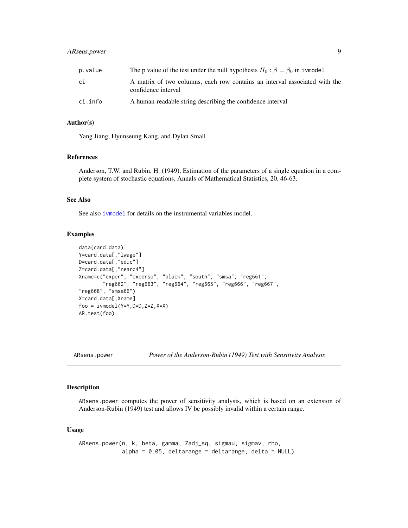# <span id="page-8-0"></span>ARsens.power 9

| p.value | The p value of the test under the null hypothesis $H_0$ : $\beta = \beta_0$ in i vmodel           |
|---------|---------------------------------------------------------------------------------------------------|
| сi      | A matrix of two columns, each row contains an interval associated with the<br>confidence interval |
| ci.info | A human-readable string describing the confidence interval                                        |

#### Author(s)

Yang Jiang, Hyunseung Kang, and Dylan Small

# References

Anderson, T.W. and Rubin, H. (1949), Estimation of the parameters of a single equation in a complete system of stochastic equations, Annals of Mathematical Statistics, 20, 46-63.

# See Also

See also [ivmodel](#page-31-1) for details on the instrumental variables model.

# Examples

```
data(card.data)
Y=card.data[,"lwage"]
D=card.data[,"educ"]
Z=card.data[,"nearc4"]
Xname=c("exper", "expersq", "black", "south", "smsa", "reg661",
        "reg662", "reg663", "reg664", "reg665", "reg666", "reg667",
"reg668", "smsa66")
X=card.data[,Xname]
foo = ivmodel(Y=Y,D=D,Z=Z,X=X)
AR.test(foo)
```
<span id="page-8-1"></span>ARsens.power *Power of the Anderson-Rubin (1949) Test with Sensitivity Analysis*

#### Description

ARsens.power computes the power of sensitivity analysis, which is based on an extension of Anderson-Rubin (1949) test and allows IV be possibly invalid within a certain range.

#### Usage

```
ARsens.power(n, k, beta, gamma, Zadj_sq, sigmau, sigmav, rho,
             alpha = 0.05, deltarange = deltarange, delta = NULL)
```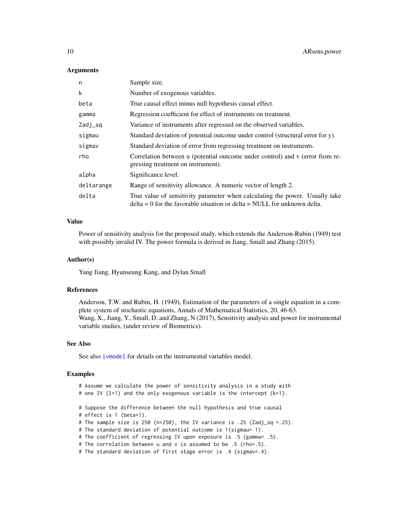#### Arguments

| n          | Sample size.                                                                                                                                               |
|------------|------------------------------------------------------------------------------------------------------------------------------------------------------------|
| k          | Number of exogenous variables.                                                                                                                             |
| beta       | True causal effect minus null hypothesis causal effect.                                                                                                    |
| gamma      | Regression coefficient for effect of instruments on treatment.                                                                                             |
| Zadj_sq    | Variance of instruments after regressed on the observed variables.                                                                                         |
| sigmau     | Standard deviation of potential outcome under control (structural error for y).                                                                            |
| sigmav     | Standard deviation of error from regressing treatment on instruments.                                                                                      |
| rho        | Correlation between u (potential outcome under control) and v (error from re-<br>gressing treatment on instrument).                                        |
| alpha      | Significance level.                                                                                                                                        |
| deltarange | Range of sensitivity allowance. A numeric vector of length 2.                                                                                              |
| delta      | True value of sensitivity parameter when calculating the power. Usually take<br>$delta = 0$ for the favorable situation or delta = NULL for unknown delta. |

#### Value

Power of sensitivity analysis for the proposed study, which extends the Anderson-Rubin (1949) test with possibly invalid IV. The power formula is derived in Jiang, Small and Zhang (2015).

#### Author(s)

Yang Jiang, Hyunseung Kang, and Dylan Small

#### References

Anderson, T.W. and Rubin, H. (1949), Estimation of the parameters of a single equation in a complete system of stochastic equations, Annals of Mathematical Statistics, 20, 46-63. Wang, X., Jiang, Y., Small, D. and Zhang, N (2017), Sensitivity analysis and power for instrumental variable studies, (under review of Biometrics).

# See Also

See also [ivmodel](#page-31-1) for details on the instrumental variables model.

```
# Assume we calculate the power of sensitivity analysis in a study with
# one IV (l=1) and the only exogenous variable is the intercept (k=1).
# Suppose the difference between the null hypothesis and true causal
# effect is 1 (beta=1).
# The sample size is 250 (n=250), the IV variance is .25 (Zadj_sq =.25).
# The standard deviation of potential outcome is 1(sigmau= 1).
# The coefficient of regressing IV upon exposure is .5 (gamma= .5).
# The correlation between u and v is assumed to be .5 (rho=.5).
# The standard deviation of first stage error is .4 (sigmav=.4).
```
<span id="page-9-0"></span>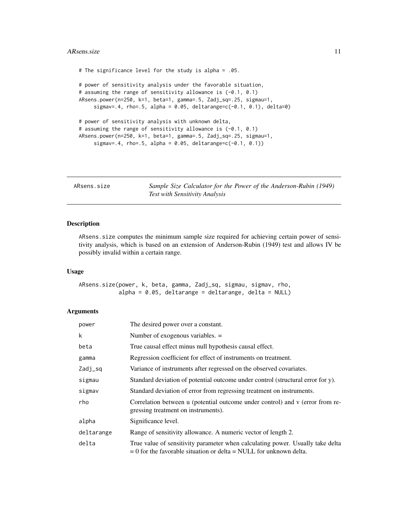#### <span id="page-10-0"></span>ARsens.size 11

```
# The significance level for the study is alpha = .05.
# power of sensitivity analysis under the favorable situation,
# assuming the range of sensitivity allowance is (-0.1, 0.1)
ARsens.power(n=250, k=1, beta=1, gamma=.5, Zadj_sq=.25, sigmau=1,
     signav = .4, rho=.5, alpha = 0.05, deltarange=c(-0.1, 0.1), delta=0)
# power of sensitivity analysis with unknown delta,
# assuming the range of sensitivity allowance is (-0.1, 0.1)
ARsens.power(n=250, k=1, beta=1, gamma=.5, Zadj_sq=.25, sigmau=1,
     sigmav=.4, rho=.5, alpha = 0.05, deltarange=c(-0.1, 0.1))
```
<span id="page-10-1"></span>ARsens.size *Sample Size Calculator for the Power of the Anderson-Rubin (1949) Test with Sensitivity Analysis*

# Description

ARsens.size computes the minimum sample size required for achieving certain power of sensitivity analysis, which is based on an extension of Anderson-Rubin (1949) test and allows IV be possibly invalid within a certain range.

#### Usage

ARsens.size(power, k, beta, gamma, Zadj\_sq, sigmau, sigmav, rho,  $alpha = 0.05$ , deltarange = deltarange, delta = NULL)

#### Arguments

| power      | The desired power over a constant.                                                                                                                       |  |
|------------|----------------------------------------------------------------------------------------------------------------------------------------------------------|--|
| k          | Number of exogenous variables. $=$                                                                                                                       |  |
| beta       | True causal effect minus null hypothesis causal effect.                                                                                                  |  |
| gamma      | Regression coefficient for effect of instruments on treatment.                                                                                           |  |
| Zadj_sq    | Variance of instruments after regressed on the observed covariates.                                                                                      |  |
| sigmau     | Standard deviation of potential outcome under control (structural error for y).                                                                          |  |
| sigmav     | Standard deviation of error from regressing treatment on instruments.                                                                                    |  |
| rho        | Correlation between u (potential outcome under control) and v (error from re-<br>gressing treatment on instruments).                                     |  |
| alpha      | Significance level.                                                                                                                                      |  |
| deltarange | Range of sensitivity allowance. A numeric vector of length 2.                                                                                            |  |
| delta      | True value of sensitivity parameter when calculating power. Usually take delta<br>$= 0$ for the favorable situation or delta $=$ NULL for unknown delta. |  |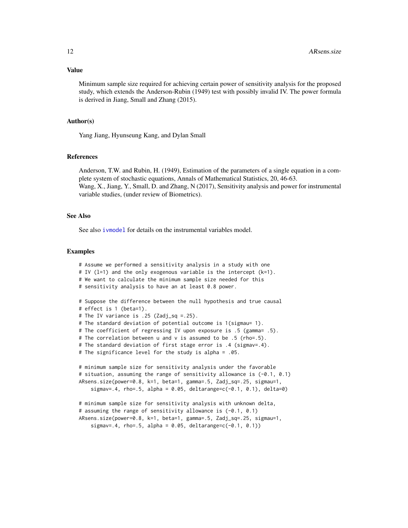Minimum sample size required for achieving certain power of sensitivity analysis for the proposed study, which extends the Anderson-Rubin (1949) test with possibly invalid IV. The power formula is derived in Jiang, Small and Zhang (2015).

#### Author(s)

Yang Jiang, Hyunseung Kang, and Dylan Small

# References

Anderson, T.W. and Rubin, H. (1949), Estimation of the parameters of a single equation in a complete system of stochastic equations, Annals of Mathematical Statistics, 20, 46-63. Wang, X., Jiang, Y., Small, D. and Zhang, N (2017), Sensitivity analysis and power for instrumental variable studies, (under review of Biometrics).

# See Also

See also [ivmodel](#page-31-1) for details on the instrumental variables model.

```
# Assume we performed a sensitivity analysis in a study with one
# IV (l=1) and the only exogenous variable is the intercept (k=1).
# We want to calculate the minimum sample size needed for this
# sensitivity analysis to have an at least 0.8 power.
# Suppose the difference between the null hypothesis and true causal
# effect is 1 (beta=1).
# The IV variance is .25 (Zadj_sq =.25).
# The standard deviation of potential outcome is 1(sigmau= 1).
# The coefficient of regressing IV upon exposure is .5 (gamma= .5).
# The correlation between u and v is assumed to be .5 (rho=.5).
# The standard deviation of first stage error is .4 (sigmav=.4).
# The significance level for the study is alpha = .05.
# minimum sample size for sensitivity analysis under the favorable
# situation, assuming the range of sensitivity allowance is (-0.1, 0.1)
ARsens.size(power=0.8, k=1, beta=1, gamma=.5, Zadj_sq=.25, sigmau=1,
    signav = .4, rho=.5, alpha = 0.05, deltarange=c(-0.1, 0.1), delta=0)
# minimum sample size for sensitivity analysis with unknown delta,
# assuming the range of sensitivity allowance is (-0.1, 0.1)
ARsens.size(power=0.8, k=1, beta=1, gamma=.5, Zadj_sq=.25, sigmau=1,
    signav = .4, rho = .5, alpha = 0.05, delarange = c(-0.1, 0.1)
```
<span id="page-11-0"></span>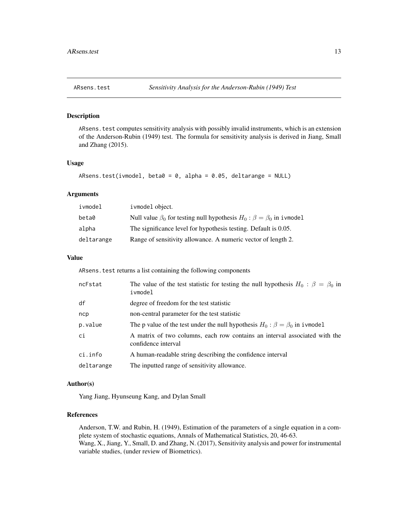#### <span id="page-12-1"></span><span id="page-12-0"></span>Description

ARsens.test computes sensitivity analysis with possibly invalid instruments, which is an extension of the Anderson-Rubin (1949) test. The formula for sensitivity analysis is derived in Jiang, Small and Zhang (2015).

# Usage

```
ARsens.test(ivmodel, beta0 = 0, alpha = 0.05, deltarange = NULL)
```
# Arguments

| ivmodel    | ivmodel object.                                                                       |
|------------|---------------------------------------------------------------------------------------|
| beta0      | Null value $\beta_0$ for testing null hypothesis $H_0$ : $\beta = \beta_0$ in ivmodel |
| alpha      | The significance level for hypothesis testing. Default is 0.05.                       |
| deltarange | Range of sensitivity allowance. A numeric vector of length 2.                         |

# Value

ARsens. test returns a list containing the following components

| ncFstat    | The value of the test statistic for testing the null hypothesis $H_0$ : $\beta = \beta_0$ in<br>ivmodel |
|------------|---------------------------------------------------------------------------------------------------------|
| df         | degree of freedom for the test statistic                                                                |
| ncp        | non-central parameter for the test statistic                                                            |
| p.value    | The p value of the test under the null hypothesis $H_0$ : $\beta = \beta_0$ in ivmodel                  |
| ci         | A matrix of two columns, each row contains an interval associated with the<br>confidence interval       |
| ci.info    | A human-readable string describing the confidence interval                                              |
| deltarange | The inputted range of sensitivity allowance.                                                            |

#### Author(s)

Yang Jiang, Hyunseung Kang, and Dylan Small

#### References

Anderson, T.W. and Rubin, H. (1949), Estimation of the parameters of a single equation in a complete system of stochastic equations, Annals of Mathematical Statistics, 20, 46-63. Wang, X., Jiang, Y., Small, D. and Zhang, N. (2017), Sensitivity analysis and power for instrumental variable studies, (under review of Biometrics).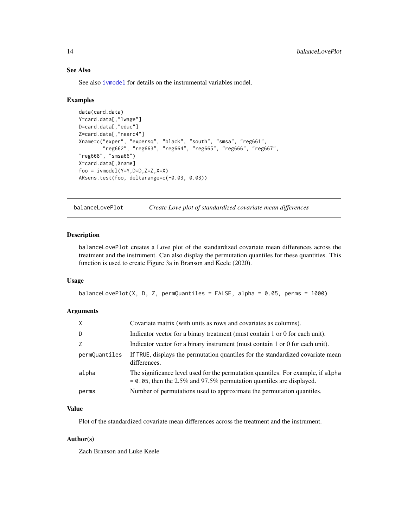# See Also

See also [ivmodel](#page-31-1) for details on the instrumental variables model.

#### Examples

```
data(card.data)
Y=card.data[,"lwage"]
D=card.data[,"educ"]
Z=card.data[,"nearc4"]
Xname=c("exper", "expersq", "black", "south", "smsa", "reg661",
        "reg662", "reg663", "reg664", "reg665", "reg666", "reg667",
"reg668", "smsa66")
X=card.data[,Xname]
foo = ivmodel(Y=Y,D=D,Z=Z,X=X)
ARsens.test(foo, deltarange=c(-0.03, 0.03))
```
balanceLovePlot *Create Love plot of standardized covariate mean differences*

# Description

balanceLovePlot creates a Love plot of the standardized covariate mean differences across the treatment and the instrument. Can also display the permutation quantiles for these quantities. This function is used to create Figure 3a in Branson and Keele (2020).

#### Usage

```
balanceLovePlot(X, D, Z, permQuantiles = FALSE, alpha = 0.05, perms = 1000)
```
#### Arguments

| $\mathsf{X}$  | Covariate matrix (with units as rows and covariates as columns).                                                                                            |
|---------------|-------------------------------------------------------------------------------------------------------------------------------------------------------------|
| D             | Indicator vector for a binary treatment (must contain 1 or 0 for each unit).                                                                                |
| Z             | Indicator vector for a binary instrument (must contain 1 or 0 for each unit).                                                                               |
| permQuantiles | If TRUE, displays the permutation quantiles for the standardized covariate mean<br>differences.                                                             |
| alpha         | The significance level used for the permutation quantiles. For example, if alpha<br>$= 0.05$ , then the 2.5% and 97.5% permutation quantiles are displayed. |
| perms         | Number of permutations used to approximate the permutation quantiles.                                                                                       |

# Value

Plot of the standardized covariate mean differences across the treatment and the instrument.

#### Author(s)

Zach Branson and Luke Keele

<span id="page-13-0"></span>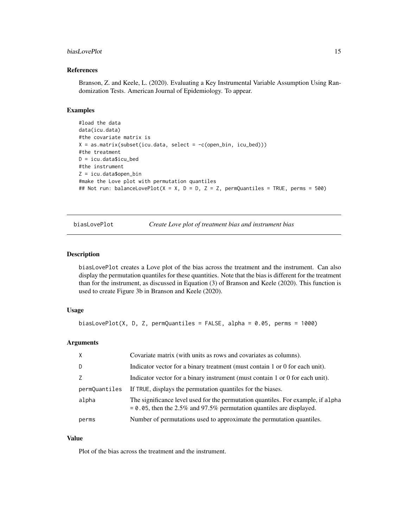#### <span id="page-14-0"></span>biasLovePlot 15

# References

Branson, Z. and Keele, L. (2020). Evaluating a Key Instrumental Variable Assumption Using Randomization Tests. American Journal of Epidemiology. To appear.

#### Examples

```
#load the data
data(icu.data)
#the covariate matrix is
X = as_matrix(subset(icu.data, select = -c(open_bin, icu_bed)))#the treatment
D = icu.data$icu_bed
#the instrument
Z = icu.data$open_bin
#make the Love plot with permutation quantiles
## Not run: balanceLovePlot(X = X, D = D, Z = Z, permQuantiles = TRUE, perms = 500)
```
biasLovePlot *Create Love plot of treatment bias and instrument bias*

#### Description

biasLovePlot creates a Love plot of the bias across the treatment and the instrument. Can also display the permutation quantiles for these quantities. Note that the bias is different for the treatment than for the instrument, as discussed in Equation (3) of Branson and Keele (2020). This function is used to create Figure 3b in Branson and Keele (2020).

#### Usage

```
biasLovePlot(X, D, Z, permQuantiles = FALSE, alpha = 0.05, perms = 1000)
```
#### Arguments

| $\mathsf{X}$  | Covariate matrix (with units as rows and covariates as columns).                                                                                            |
|---------------|-------------------------------------------------------------------------------------------------------------------------------------------------------------|
| D             | Indicator vector for a binary treatment (must contain 1 or 0 for each unit).                                                                                |
|               | Indicator vector for a binary instrument (must contain 1 or 0 for each unit).                                                                               |
| permQuantiles | If TRUE, displays the permutation quantiles for the biases.                                                                                                 |
| alpha         | The significance level used for the permutation quantiles. For example, if alpha<br>$= 0.05$ , then the 2.5% and 97.5% permutation quantiles are displayed. |
| perms         | Number of permutations used to approximate the permutation quantiles.                                                                                       |

#### Value

Plot of the bias across the treatment and the instrument.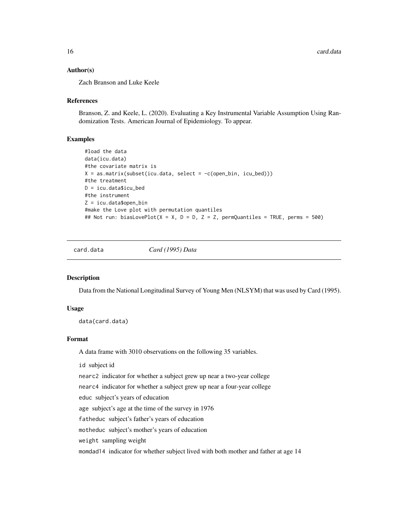# <span id="page-15-0"></span>Author(s)

Zach Branson and Luke Keele

#### References

Branson, Z. and Keele, L. (2020). Evaluating a Key Instrumental Variable Assumption Using Randomization Tests. American Journal of Epidemiology. To appear.

# Examples

```
#load the data
data(icu.data)
#the covariate matrix is
X = as_matrix(subset(icu.data, select = -c(open_bin, icu_bed)))#the treatment
D = icu.data$icu_bed
#the instrument
Z = icu.data$open_bin
#make the Love plot with permutation quantiles
## Not run: biasLovePlot(X = X, D = D, Z = Z, permQuantiles = TRUE, perms = 500)
```
card.data *Card (1995) Data*

#### Description

Data from the National Longitudinal Survey of Young Men (NLSYM) that was used by Card (1995).

#### Usage

data(card.data)

# Format

A data frame with 3010 observations on the following 35 variables.

id subject id

nearc2 indicator for whether a subject grew up near a two-year college

nearc4 indicator for whether a subject grew up near a four-year college

educ subject's years of education

age subject's age at the time of the survey in 1976

fatheduc subject's father's years of education

motheduc subject's mother's years of education

weight sampling weight

momdad14 indicator for whether subject lived with both mother and father at age 14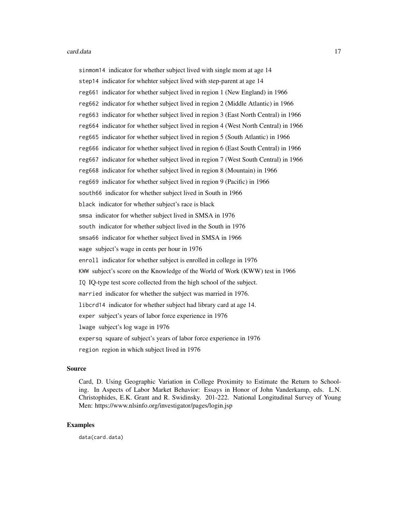sinmom14 indicator for whether subject lived with single mom at age 14 step14 indicator for whehter subject lived with step-parent at age 14 reg661 indicator for whether subject lived in region 1 (New England) in 1966 reg662 indicator for whether subject lived in region 2 (Middle Atlantic) in 1966 reg663 indicator for whether subject lived in region 3 (East North Central) in 1966 reg664 indicator for whether subject lived in region 4 (West North Central) in 1966 reg665 indicator for whether subject lived in region 5 (South Atlantic) in 1966 reg666 indicator for whether subject lived in region 6 (East South Central) in 1966 reg667 indicator for whether subject lived in region 7 (West South Central) in 1966 reg668 indicator for whether subject lived in region 8 (Mountain) in 1966 reg669 indicator for whether subject lived in region 9 (Pacific) in 1966 south66 indicator for whether subject lived in South in 1966 black indicator for whether subject's race is black smsa indicator for whether subject lived in SMSA in 1976 south indicator for whether subject lived in the South in 1976 smsa66 indicator for whether subject lived in SMSA in 1966 wage subject's wage in cents per hour in 1976 enroll indicator for whether subject is enrolled in college in 1976 KWW subject's score on the Knowledge of the World of Work (KWW) test in 1966 IQ IQ-type test score collected from the high school of the subject. married indicator for whether the subject was married in 1976. libcrd14 indicator for whether subject had library card at age 14. exper subject's years of labor force experience in 1976 lwage subject's log wage in 1976 expersq square of subject's years of labor force experience in 1976 region region in which subject lived in 1976

#### Source

Card, D. Using Geographic Variation in College Proximity to Estimate the Return to Schooling. In Aspects of Labor Market Behavior: Essays in Honor of John Vanderkamp, eds. L.N. Christophides, E.K. Grant and R. Swidinsky. 201-222. National Longitudinal Survey of Young Men: https://www.nlsinfo.org/investigator/pages/login.jsp

# Examples

data(card.data)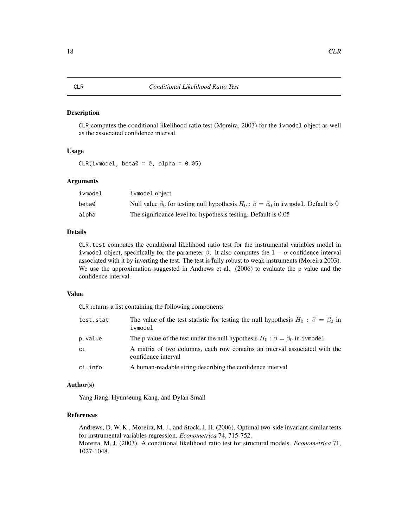#### <span id="page-17-1"></span><span id="page-17-0"></span>Description

CLR computes the conditional likelihood ratio test (Moreira, 2003) for the ivmodel object as well as the associated confidence interval.

#### Usage

 $CLR(ivmodel, beta0 = 0, alpha = 0.05)$ 

#### **Arguments**

| ivmodel | ivmodel object                                                                                      |
|---------|-----------------------------------------------------------------------------------------------------|
| beta0   | Null value $\beta_0$ for testing null hypothesis $H_0$ : $\beta = \beta_0$ in ivmodel. Default is 0 |
| alpha   | The significance level for hypothesis testing. Default is 0.05                                      |

#### Details

CLR.test computes the conditional likelihood ratio test for the instrumental variables model in ivmodel object, specifically for the parameter  $\beta$ . It also computes the  $1 - \alpha$  confidence interval associated with it by inverting the test. The test is fully robust to weak instruments (Moreira 2003). We use the approximation suggested in Andrews et al. (2006) to evaluate the p value and the confidence interval.

# Value

CLR returns a list containing the following components

| test.stat | The value of the test statistic for testing the null hypothesis $H_0$ : $\beta = \beta_0$ in<br>ivmodel |
|-----------|---------------------------------------------------------------------------------------------------------|
| p.value   | The p value of the test under the null hypothesis $H_0$ : $\beta = \beta_0$ in i vmodel                 |
| ci        | A matrix of two columns, each row contains an interval associated with the<br>confidence interval       |
| ci.info   | A human-readable string describing the confidence interval                                              |

#### Author(s)

Yang Jiang, Hyunseung Kang, and Dylan Small

#### References

Andrews, D. W. K., Moreira, M. J., and Stock, J. H. (2006). Optimal two-side invariant similar tests for instrumental variables regression. *Econometrica* 74, 715-752. Moreira, M. J. (2003). A conditional likelihood ratio test for structural models. *Econometrica* 71, 1027-1048.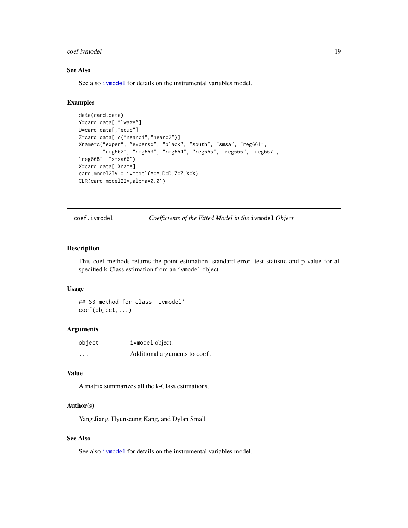#### <span id="page-18-0"></span>coef.ivmodel 19

# See Also

See also [ivmodel](#page-31-1) for details on the instrumental variables model.

# Examples

```
data(card.data)
Y=card.data[,"lwage"]
D=card.data[,"educ"]
Z=card.data[,c("nearc4","nearc2")]
Xname=c("exper", "expersq", "black", "south", "smsa", "reg661",
        "reg662", "reg663", "reg664", "reg665", "reg666", "reg667",
"reg668", "smsa66")
X=card.data[,Xname]
card.model2IV = ivmodel(Y=Y,D=D,Z=Z,X=X)
CLR(card.model2IV,alpha=0.01)
```
<span id="page-18-1"></span>coef.ivmodel *Coefficients of the Fitted Model in the* ivmodel *Object*

#### Description

This coef methods returns the point estimation, standard error, test statistic and p value for all specified k-Class estimation from an ivmodel object.

#### Usage

## S3 method for class 'ivmodel' coef(object,...)

#### Arguments

| object   | ivmodel object.               |
|----------|-------------------------------|
| $\cdots$ | Additional arguments to coef. |

# Value

A matrix summarizes all the k-Class estimations.

#### Author(s)

Yang Jiang, Hyunseung Kang, and Dylan Small

# See Also

See also [ivmodel](#page-31-1) for details on the instrumental variables model.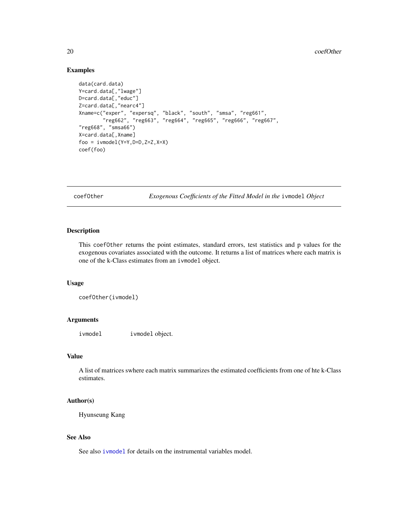# Examples

```
data(card.data)
Y=card.data[,"lwage"]
D=card.data[,"educ"]
Z=card.data[,"nearc4"]
Xname=c("exper", "expersq", "black", "south", "smsa", "reg661",
        "reg662", "reg663", "reg664", "reg665", "reg666", "reg667",
"reg668", "smsa66")
X=card.data[,Xname]
foo = ivmodel(Y=Y,D=D,Z=Z,X=X)
coef(foo)
```
<span id="page-19-1"></span>coefOther *Exogenous Coefficients of the Fitted Model in the* ivmodel *Object*

# Description

This coefOther returns the point estimates, standard errors, test statistics and p values for the exogenous covariates associated with the outcome. It returns a list of matrices where each matrix is one of the k-Class estimates from an ivmodel object.

#### Usage

```
coefOther(ivmodel)
```
#### Arguments

ivmodel ivmodel object.

# Value

A list of matrices swhere each matrix summarizes the estimated coefficients from one of hte k-Class estimates.

#### Author(s)

Hyunseung Kang

# See Also

See also [ivmodel](#page-31-1) for details on the instrumental variables model.

<span id="page-19-0"></span>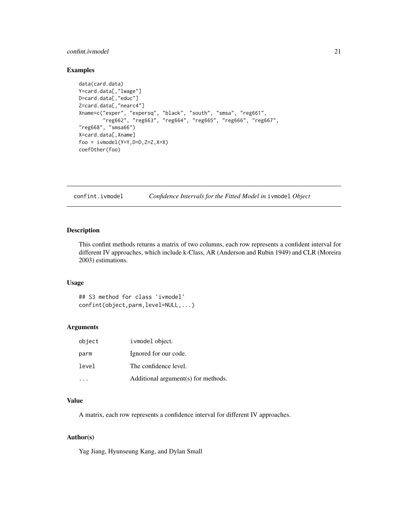# <span id="page-20-0"></span>confint.ivmodel 21

# Examples

```
data(card.data)
Y=card.data[,"lwage"]
D=card.data[,"educ"]
Z=card.data[,"nearc4"]
Xname=c("exper", "expersq", "black", "south", "smsa", "reg661",
        "reg662", "reg663", "reg664", "reg665", "reg666", "reg667",
"reg668", "smsa66")
X=card.data[,Xname]
foo = ivmodel(Y=Y,D=D,Z=Z,X=X)
coefOther(foo)
```
<span id="page-20-1"></span>confint.ivmodel *Confidence Intervals for the Fitted Model in* ivmodel *Object*

# Description

This confint methods returns a matrix of two columns, each row represents a confident interval for different IV approaches, which include k-Class, AR (Anderson and Rubin 1949) and CLR (Moreira 2003) estimations.

# Usage

## S3 method for class 'ivmodel' confint(object,parm,level=NULL,...)

#### Arguments

| object | ivmodel object.                     |
|--------|-------------------------------------|
| parm   | Ignored for our code.               |
| level  | The confidence level.               |
|        | Additional argument(s) for methods. |

#### Value

A matrix, each row represents a confidence interval for different IV approaches.

# Author(s)

Yag Jiang, Hyunseung Kang, and Dylan Small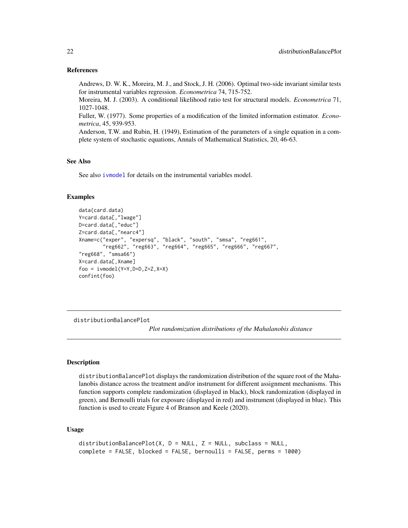## References

Andrews, D. W. K., Moreira, M. J., and Stock, J. H. (2006). Optimal two-side invariant similar tests for instrumental variables regression. *Econometrica* 74, 715-752.

Moreira, M. J. (2003). A conditional likelihood ratio test for structural models. *Econometrica* 71, 1027-1048.

Fuller, W. (1977). Some properties of a modification of the limited information estimator. *Econometrica*, 45, 939-953.

Anderson, T.W. and Rubin, H. (1949), Estimation of the parameters of a single equation in a complete system of stochastic equations, Annals of Mathematical Statistics, 20, 46-63.

# See Also

See also [ivmodel](#page-31-1) for details on the instrumental variables model.

#### Examples

```
data(card.data)
Y=card.data[,"lwage"]
D=card.data[,"educ"]
Z=card.data[,"nearc4"]
Xname=c("exper", "expersq", "black", "south", "smsa", "reg661",
        "reg662", "reg663", "reg664", "reg665", "reg666", "reg667",
"reg668", "smsa66")
X=card.data[,Xname]
foo = ivmodel(Y=Y,D=D,Z=Z,X=X)
confint(foo)
```
distributionBalancePlot

*Plot randomization distributions of the Mahalanobis distance*

# Description

distributionBalancePlot displays the randomization distribution of the square root of the Mahalanobis distance across the treatment and/or instrument for different assignment mechanisms. This function supports complete randomization (displayed in black), block randomization (displayed in green), and Bernoulli trials for exposure (displayed in red) and instrument (displayed in blue). This function is used to create Figure 4 of Branson and Keele (2020).

# Usage

```
distributionBalancePlot(X, D = NULL, Z = NULL, subclass = NULL,
complete = FALSE, blocked = FALSE, bernoulli = FALSE, perms = 1000)
```
<span id="page-21-0"></span>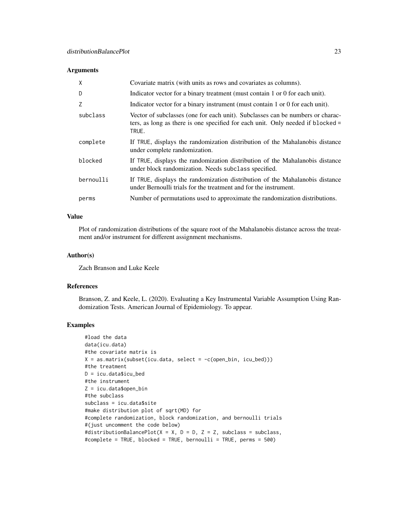# Arguments

| $\times$  | Covariate matrix (with units as rows and covariates as columns).                                                                                                           |
|-----------|----------------------------------------------------------------------------------------------------------------------------------------------------------------------------|
| D         | Indicator vector for a binary treatment (must contain 1 or 0 for each unit).                                                                                               |
| Z         | Indicator vector for a binary instrument (must contain 1 or 0 for each unit).                                                                                              |
| subclass  | Vector of subclasses (one for each unit). Subclasses can be numbers or charac-<br>ters, as long as there is one specified for each unit. Only needed if blocked =<br>TRUE. |
| complete  | If TRUE, displays the randomization distribution of the Mahalanobis distance<br>under complete randomization.                                                              |
| blocked   | If TRUE, displays the randomization distribution of the Mahalanobis distance<br>under block randomization. Needs subclass specified.                                       |
| bernoulli | If TRUE, displays the randomization distribution of the Mahalanobis distance<br>under Bernoulli trials for the treatment and for the instrument.                           |
| perms     | Number of permutations used to approximate the randomization distributions.                                                                                                |

# Value

Plot of randomization distributions of the square root of the Mahalanobis distance across the treatment and/or instrument for different assignment mechanisms.

#### Author(s)

Zach Branson and Luke Keele

#### References

Branson, Z. and Keele, L. (2020). Evaluating a Key Instrumental Variable Assumption Using Randomization Tests. American Journal of Epidemiology. To appear.

```
#load the data
data(icu.data)
#the covariate matrix is
X = as_matrix(subset(icu.data, select = -c(open_bin, icu_bed)))#the treatment
D = icu.data$icu_bed
#the instrument
Z = icu.data$open_bin
#the subclass
subclass = icu.data$site
#make distribution plot of sqrt(MD) for
#complete randomization, block randomization, and bernoulli trials
#(just uncomment the code below)
#distributionBalancePlot(X = X, D = D, Z = Z, subclass = subclass,
#complete = TRUE, blocked = TRUE, bernoulli = TRUE, perms = 500)
```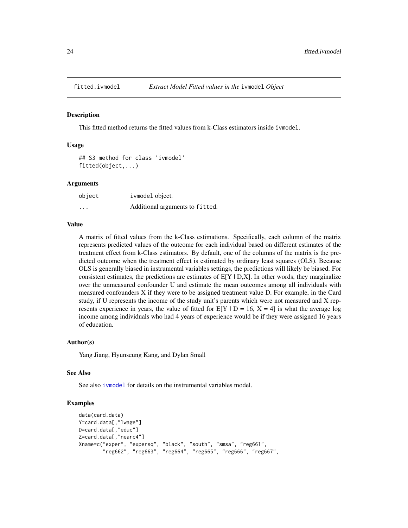<span id="page-23-1"></span><span id="page-23-0"></span>

#### Description

This fitted method returns the fitted values from k-Class estimators inside ivmodel.

#### Usage

```
## S3 method for class 'ivmodel'
fitted(object,...)
```
#### **Arguments**

| object   | ivmodel object.                 |
|----------|---------------------------------|
| $\cdots$ | Additional arguments to fitted. |

# Value

A matrix of fitted values from the k-Class estimations. Specifically, each column of the matrix represents predicted values of the outcome for each individual based on different estimates of the treatment effect from k-Class estimators. By default, one of the columns of the matrix is the predicted outcome when the treatment effect is estimated by ordinary least squares (OLS). Because OLS is generally biased in instrumental variables settings, the predictions will likely be biased. For consistent estimates, the predictions are estimates of  $E[Y | D,X]$ . In other words, they marginalize over the unmeasured confounder U and estimate the mean outcomes among all individuals with measured confounders X if they were to be assigned treatment value D. For example, in the Card study, if U represents the income of the study unit's parents which were not measured and X represents experience in years, the value of fitted for  $E[Y | D = 16, X = 4]$  is what the average log income among individuals who had 4 years of experience would be if they were assigned 16 years of education.

#### Author(s)

Yang Jiang, Hyunseung Kang, and Dylan Small

#### See Also

See also [ivmodel](#page-31-1) for details on the instrumental variables model.

```
data(card.data)
Y=card.data[,"lwage"]
D=card.data[,"educ"]
Z=card.data[,"nearc4"]
Xname=c("exper", "expersq", "black", "south", "smsa", "reg661",
        "reg662", "reg663", "reg664", "reg665", "reg666", "reg667",
```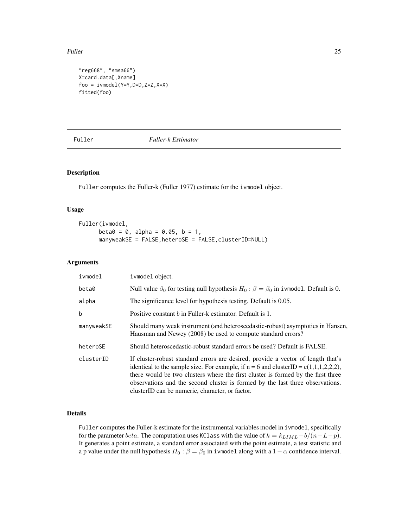<span id="page-24-0"></span>Fuller 25

```
"reg668", "smsa66")
X=card.data[,Xname]
foo = ivmodel(Y=Y,D=D,Z=Z,X=X)
fitted(foo)
```
<span id="page-24-1"></span>

Fuller *Fuller-k Estimator*

# Description

Fuller computes the Fuller-k (Fuller 1977) estimate for the ivmodel object.

#### Usage

```
Fuller(ivmodel,
      beta = 0, alpha = 0.05, b = 1,
     manyweakSE = FALSE,heteroSE = FALSE,clusterID=NULL)
```
#### Arguments

| ivmodel     | ivmodel object.                                                                                                                                                                                                                                                                                                                                                                                   |  |
|-------------|---------------------------------------------------------------------------------------------------------------------------------------------------------------------------------------------------------------------------------------------------------------------------------------------------------------------------------------------------------------------------------------------------|--|
| beta0       | Null value $\beta_0$ for testing null hypothesis $H_0$ : $\beta = \beta_0$ in ivmodel. Default is 0.                                                                                                                                                                                                                                                                                              |  |
| alpha       | The significance level for hypothesis testing. Default is 0.05.                                                                                                                                                                                                                                                                                                                                   |  |
| $\mathbf b$ | Positive constant b in Fuller-k estimator. Default is 1.                                                                                                                                                                                                                                                                                                                                          |  |
| manyweakSE  | Should many weak instrument (and heteroscedastic-robust) asymptotics in Hansen,<br>Hausman and Newey (2008) be used to compute standard errors?                                                                                                                                                                                                                                                   |  |
| heteroSE    | Should heteroscedastic-robust standard errors be used? Default is FALSE.                                                                                                                                                                                                                                                                                                                          |  |
| clusterID   | If cluster-robust standard errors are desired, provide a vector of length that's<br>identical to the sample size. For example, if $n = 6$ and clusterID = c(1,1,1,2,2,2),<br>there would be two clusters where the first cluster is formed by the first three<br>observations and the second cluster is formed by the last three observations.<br>clusterID can be numeric, character, or factor. |  |

#### Details

Fuller computes the Fuller-k estimate for the instrumental variables model in ivmodel, specifically for the parameter *beta*. The computation uses KClass with the value of  $k = k_{LIML} - b/(n-L-p)$ . It generates a point estimate, a standard error associated with the point estimate, a test statistic and a p value under the null hypothesis  $H_0$  :  $\beta = \beta_0$  in ivmodel along with a 1 –  $\alpha$  confidence interval.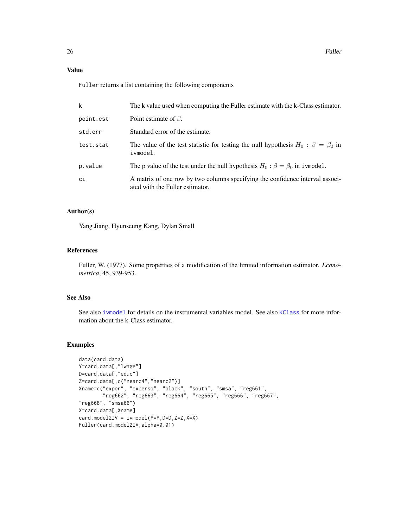# Value

Fuller returns a list containing the following components

| k         | The k value used when computing the Fuller estimate with the k-Class estimator.                                  |
|-----------|------------------------------------------------------------------------------------------------------------------|
| point.est | Point estimate of $\beta$ .                                                                                      |
| std.err   | Standard error of the estimate.                                                                                  |
| test.stat | The value of the test statistic for testing the null hypothesis $H_0$ : $\beta = \beta_0$ in<br>ivmodel.         |
| p.value   | The p value of the test under the null hypothesis $H_0$ : $\beta = \beta_0$ in ivmodel.                          |
| сi        | A matrix of one row by two columns specifying the confidence interval associ-<br>ated with the Fuller estimator. |

#### Author(s)

Yang Jiang, Hyunseung Kang, Dylan Small

#### References

Fuller, W. (1977). Some properties of a modification of the limited information estimator. *Econometrica*, 45, 939-953.

# See Also

See also [ivmodel](#page-31-1) for details on the instrumental variables model. See also [KClass](#page-41-1) for more information about the k-Class estimator.

```
data(card.data)
Y=card.data[,"lwage"]
D=card.data[,"educ"]
Z=card.data[,c("nearc4","nearc2")]
Xname=c("exper", "expersq", "black", "south", "smsa", "reg661",
        "reg662", "reg663", "reg664", "reg665", "reg666", "reg667",
"reg668", "smsa66")
X=card.data[,Xname]
card.model2IV = ivmodel(Y=Y,D=D,Z=Z,X=X)
Fuller(card.model2IV,alpha=0.01)
```
<span id="page-25-0"></span>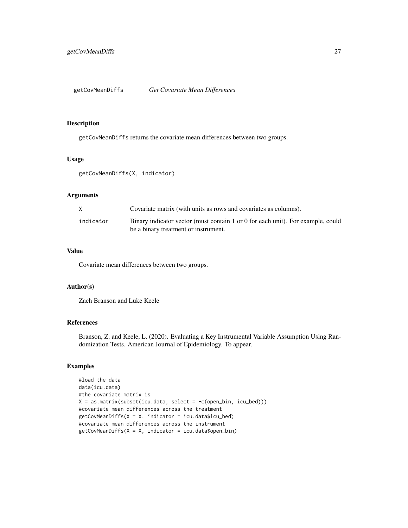<span id="page-26-0"></span>getCovMeanDiffs *Get Covariate Mean Differences*

#### Description

getCovMeanDiffs returns the covariate mean differences between two groups.

# Usage

```
getCovMeanDiffs(X, indicator)
```
# Arguments

| X.        | Covariate matrix (with units as rows and covariates as columns).                                                        |
|-----------|-------------------------------------------------------------------------------------------------------------------------|
| indicator | Binary indicator vector (must contain 1 or 0 for each unit). For example, could<br>be a binary treatment or instrument. |

# Value

Covariate mean differences between two groups.

# Author(s)

Zach Branson and Luke Keele

# References

Branson, Z. and Keele, L. (2020). Evaluating a Key Instrumental Variable Assumption Using Randomization Tests. American Journal of Epidemiology. To appear.

```
#load the data
data(icu.data)
#the covariate matrix is
X = as_matrix(subset(icu.data, select = -c(open_bin, icu_bed)))#covariate mean differences across the treatment
getCovMeanDiffs(X = X, indicator = icu.data$icu_bed)#covariate mean differences across the instrument
getCovMeanDiffs(X = X, indicator = icu.data$open\_bin)
```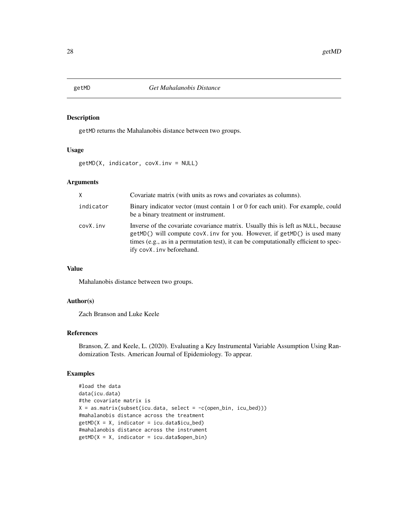# Description

getMD returns the Mahalanobis distance between two groups.

# Usage

```
getMD(X, indicator, covX.inv = NULL)
```
#### Arguments

| X         | Covariate matrix (with units as rows and covariates as columns).                                                                                                                                                                                                                   |
|-----------|------------------------------------------------------------------------------------------------------------------------------------------------------------------------------------------------------------------------------------------------------------------------------------|
| indicator | Binary indicator vector (must contain 1 or 0 for each unit). For example, could<br>be a binary treatment or instrument.                                                                                                                                                            |
| covX.inv  | Inverse of the covariate covariance matrix. Usually this is left as NULL, because<br>getMD() will compute covX. inv for you. However, if getMD() is used many<br>times (e.g., as in a permutation test), it can be computationally efficient to spec-<br>ify covX. inv beforehand. |

#### Value

Mahalanobis distance between two groups.

# Author(s)

Zach Branson and Luke Keele

# References

Branson, Z. and Keele, L. (2020). Evaluating a Key Instrumental Variable Assumption Using Randomization Tests. American Journal of Epidemiology. To appear.

```
#load the data
data(icu.data)
#the covariate matrix is
X = as_matrix(subset(icu.data, select = -c(open_bin, icu_bed)))#mahalanobis distance across the treatment
getMD(X = X, indicator = icu.data$icu_bed)#mahalanobis distance across the instrument
getMD(X = X, indicator = icu.data$open\_bin)
```
<span id="page-27-0"></span>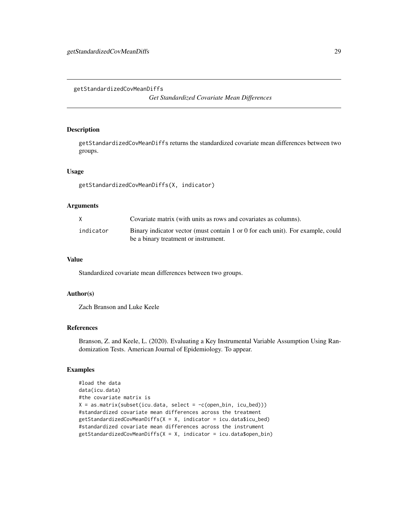<span id="page-28-0"></span>getStandardizedCovMeanDiffs

*Get Standardized Covariate Mean Differences*

# Description

getStandardizedCovMeanDiffs returns the standardized covariate mean differences between two groups.

#### Usage

```
getStandardizedCovMeanDiffs(X, indicator)
```
#### Arguments

|           | Covariate matrix (with units as rows and covariates as columns).                                                        |
|-----------|-------------------------------------------------------------------------------------------------------------------------|
| indicator | Binary indicator vector (must contain 1 or 0 for each unit). For example, could<br>be a binary treatment or instrument. |

# Value

Standardized covariate mean differences between two groups.

# Author(s)

Zach Branson and Luke Keele

#### References

Branson, Z. and Keele, L. (2020). Evaluating a Key Instrumental Variable Assumption Using Randomization Tests. American Journal of Epidemiology. To appear.

```
#load the data
data(icu.data)
#the covariate matrix is
X = as_matrix(subset(icu.data, select = -c(open_bin, icu_bed)))#standardized covariate mean differences across the treatment
getStandardizedCovMeanDiffs(X = X, indicator = icu.data$icu_bed)
#standardized covariate mean differences across the instrument
getStandardizedCovMeanDiffs(X = X, indicator = icu.data$open\_bin)
```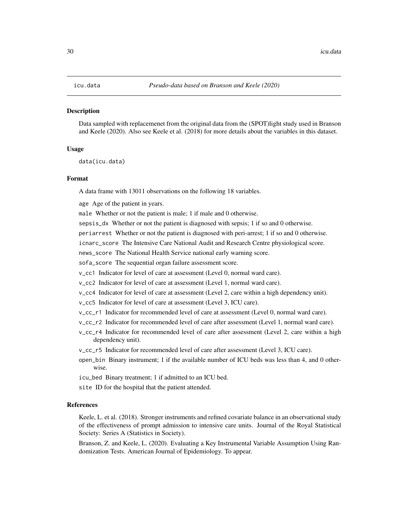#### <span id="page-29-0"></span>Description

Data sampled with replacemenet from the original data from the (SPOT)light study used in Branson and Keele (2020). Also see Keele et al. (2018) for more details about the variables in this dataset.

#### Usage

data(icu.data)

#### Format

A data frame with 13011 observations on the following 18 variables.

age Age of the patient in years.

male Whether or not the patient is male; 1 if male and 0 otherwise.

sepsis\_dx Whether or not the patient is diagnosed with sepsis; 1 if so and 0 otherwise.

periarrest Whether or not the patient is diagnosed with peri-arrest; 1 if so and 0 otherwise.

icnarc\_score The Intensive Care National Audit and Research Centre physiological score.

news\_score The National Health Service national early warning score.

sofa\_score The sequential organ failure assessment score.

v\_cc1 Indicator for level of care at assessment (Level 0, normal ward care).

- v\_cc2 Indicator for level of care at assessment (Level 1, normal ward care).
- v\_cc4 Indicator for level of care at assessment (Level 2, care within a high dependency unit).

v\_cc5 Indicator for level of care at assessment (Level 3, ICU care).

- v\_cc\_r1 Indicator for recommended level of care at assessment (Level 0, normal ward care).
- v\_cc\_r2 Indicator for recommended level of care after assessment (Level 1, normal ward care).
- v\_cc\_r4 Indicator for recommended level of care after assessment (Level 2, care within a high dependency unit).
- v\_cc\_r5 Indicator for recommended level of care after assessment (Level 3, ICU care).
- open\_bin Binary instrument; 1 if the available number of ICU beds was less than 4, and 0 otherwise.

icu\_bed Binary treatment; 1 if admitted to an ICU bed.

site ID for the hospital that the patient attended.

#### References

Keele, L. et al. (2018). Stronger instruments and refined covariate balance in an observational study of the effectiveness of prompt admission to intensive care units. Journal of the Royal Statistical Society: Series A (Statistics in Society).

Branson, Z. and Keele, L. (2020). Evaluating a Key Instrumental Variable Assumption Using Randomization Tests. American Journal of Epidemiology. To appear.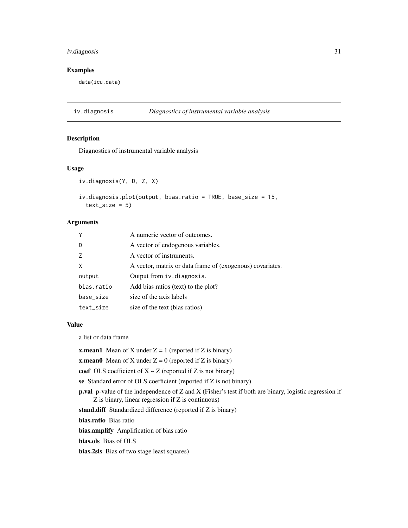# <span id="page-30-0"></span>iv.diagnosis 31

# Examples

data(icu.data)

iv.diagnosis *Diagnostics of instrumental variable analysis*

#### Description

Diagnostics of instrumental variable analysis

#### Usage

```
iv.diagnosis(Y, D, Z, X)
iv.diagnosis.plot(output, bias.ratio = TRUE, base_size = 15,
 text_size = 5)
```
#### Arguments

| Y          | A numeric vector of outcomes.                             |
|------------|-----------------------------------------------------------|
| D          | A vector of endogenous variables.                         |
| 7          | A vector of instruments.                                  |
| X          | A vector, matrix or data frame of (exogenous) covariates. |
| output     | Output from iv.diagnosis.                                 |
| bias.ratio | Add bias ratios (text) to the plot?                       |
| base_size  | size of the axis labels                                   |
| text_size  | size of the text (bias ratios)                            |

#### Value

a list or data frame

**x.mean1** Mean of X under  $Z = 1$  (reported if Z is binary)

**x.mean0** Mean of X under  $Z = 0$  (reported if Z is binary)

coef OLS coefficient of  $X \sim Z$  (reported if Z is not binary)

se Standard error of OLS coefficient (reported if Z is not binary)

p.val p-value of the independence of Z and X (Fisher's test if both are binary, logistic regression if Z is binary, linear regression if Z is continuous)

stand.diff Standardized difference (reported if Z is binary)

bias.ratio Bias ratio

bias.amplify Amplification of bias ratio

bias.ols Bias of OLS

bias.2sls Bias of two stage least squares)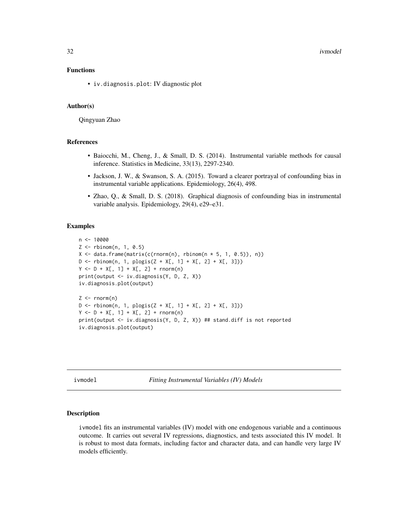<span id="page-31-0"></span>32 ivmodel

# Functions

• iv.diagnosis.plot: IV diagnostic plot

# Author(s)

Qingyuan Zhao

#### References

- Baiocchi, M., Cheng, J., & Small, D. S. (2014). Instrumental variable methods for causal inference. Statistics in Medicine, 33(13), 2297-2340.
- Jackson, J. W., & Swanson, S. A. (2015). Toward a clearer portrayal of confounding bias in instrumental variable applications. Epidemiology, 26(4), 498.
- Zhao, Q., & Small, D. S. (2018). Graphical diagnosis of confounding bias in instrumental variable analysis. Epidemiology, 29(4), e29–e31.

#### Examples

```
n <- 10000
Z <- rbinom(n, 1, 0.5)
X \leq data.frame(matrix(c(rnorm(n), rbinom(n * 5, 1, 0.5)), n))
D \le - rbinom(n, 1, plogis(Z + X[, 1] + X[, 2] + X[, 3]))
Y \le -D + X[, 1] + X[, 2] + \text{rnorm}(n)print(output <- iv.diagnosis(Y, D, Z, X))
iv.diagnosis.plot(output)
Z \leq -rnorm(n)D \le - rbinom(n, 1, plogis(Z + X[, 1] + X[, 2] + X[, 3]))
Y \le -D + X[, 1] + X[, 2] + \text{rnorm}(n)print(output <- iv.diagnosis(Y, D, Z, X)) ## stand.diff is not reported
iv.diagnosis.plot(output)
```
<span id="page-31-1"></span>ivmodel *Fitting Instrumental Variables (IV) Models*

#### Description

ivmodel fits an instrumental variables (IV) model with one endogenous variable and a continuous outcome. It carries out several IV regressions, diagnostics, and tests associated this IV model. It is robust to most data formats, including factor and character data, and can handle very large IV models efficiently.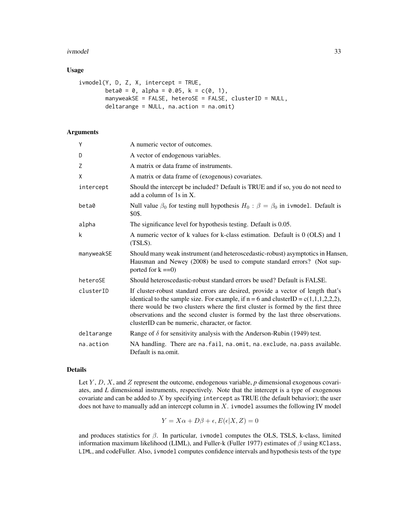#### ivmodel 33

# Usage

```
ivmodel(Y, D, Z, X, intercept = TRUE,
       beta = 0, alpha = 0.05, k = c(0, 1),
       manyweakSE = FALSE, heteroSE = FALSE, clusterID = NULL,
       deltarange = NULL, na.action = na.omit)
```
# Arguments

| Y          | A numeric vector of outcomes.                                                                                                                                                                                                                                                                                                                                                                     |
|------------|---------------------------------------------------------------------------------------------------------------------------------------------------------------------------------------------------------------------------------------------------------------------------------------------------------------------------------------------------------------------------------------------------|
| D          | A vector of endogenous variables.                                                                                                                                                                                                                                                                                                                                                                 |
| Z          | A matrix or data frame of instruments.                                                                                                                                                                                                                                                                                                                                                            |
| X          | A matrix or data frame of (exogenous) covariates.                                                                                                                                                                                                                                                                                                                                                 |
| intercept  | Should the intercept be included? Default is TRUE and if so, you do not need to<br>add a column of 1s in X.                                                                                                                                                                                                                                                                                       |
| beta0      | Null value $\beta_0$ for testing null hypothesis $H_0$ : $\beta = \beta_0$ in ivmodel. Default is<br>\$0\$.                                                                                                                                                                                                                                                                                       |
| alpha      | The significance level for hypothesis testing. Default is 0.05.                                                                                                                                                                                                                                                                                                                                   |
| k          | A numeric vector of k values for k-class estimation. Default is 0 (OLS) and 1<br>$(TSLS)$ .                                                                                                                                                                                                                                                                                                       |
| manyweakSE | Should many weak instrument (and heteroscedastic-robust) asymptotics in Hansen,<br>Hausman and Newey (2008) be used to compute standard errors? (Not sup-<br>ported for $k == 0$                                                                                                                                                                                                                  |
| heteroSE   | Should heteroscedastic-robust standard errors be used? Default is FALSE.                                                                                                                                                                                                                                                                                                                          |
| clusterID  | If cluster-robust standard errors are desired, provide a vector of length that's<br>identical to the sample size. For example, if $n = 6$ and clusterID = c(1,1,1,2,2,2),<br>there would be two clusters where the first cluster is formed by the first three<br>observations and the second cluster is formed by the last three observations.<br>clusterID can be numeric, character, or factor. |
| deltarange | Range of $\delta$ for sensitivity analysis with the Anderson-Rubin (1949) test.                                                                                                                                                                                                                                                                                                                   |
| na.action  | NA handling. There are na. fail, na. omit, na. exclude, na. pass available.<br>Default is na.omit.                                                                                                                                                                                                                                                                                                |

#### Details

Let Y, D, X, and Z represent the outcome, endogenous variable, p dimensional exogenous covariates, and *L* dimensional instruments, respectively. Note that the intercept is a type of exogenous covariate and can be added to  $X$  by specifying intercept as TRUE (the default behavior); the user does not have to manually add an intercept column in  $X$ . ivmodel assumes the following IV model

$$
Y = X\alpha + D\beta + \epsilon, E(\epsilon|X, Z) = 0
$$

and produces statistics for  $\beta$ . In particular, ivmodel computes the OLS, TSLS, k-class, limited information maximum likelihood (LIML), and Fuller-k (Fuller 1977) estimates of  $β$  using KClass, LIML, and codeFuller. Also, ivmodel computes confidence intervals and hypothesis tests of the type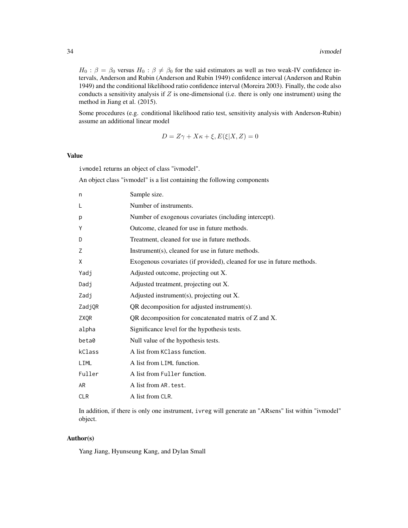$H_0$ :  $\beta = \beta_0$  versus  $H_0$ :  $\beta \neq \beta_0$  for the said estimators as well as two weak-IV confidence intervals, Anderson and Rubin (Anderson and Rubin 1949) confidence interval (Anderson and Rubin 1949) and the conditional likelihood ratio confidence interval (Moreira 2003). Finally, the code also conducts a sensitivity analysis if  $Z$  is one-dimensional (i.e. there is only one instrument) using the method in Jiang et al. (2015).

Some procedures (e.g. conditional likelihood ratio test, sensitivity analysis with Anderson-Rubin) assume an additional linear model

$$
D = Z\gamma + X\kappa + \xi, E(\xi|X, Z) = 0
$$

# Value

ivmodel returns an object of class "ivmodel".

An object class "ivmodel" is a list containing the following components

| n          | Sample size.                                                           |
|------------|------------------------------------------------------------------------|
| L          | Number of instruments.                                                 |
| p          | Number of exogenous covariates (including intercept).                  |
| Υ          | Outcome, cleaned for use in future methods.                            |
| D          | Treatment, cleaned for use in future methods.                          |
| Z          | Instrument(s), cleaned for use in future methods.                      |
| X          | Exogenous covariates (if provided), cleaned for use in future methods. |
| Yadj       | Adjusted outcome, projecting out X.                                    |
| Dadj       | Adjusted treatment, projecting out X.                                  |
| Zadj       | Adjusted instrument(s), projecting out $X$ .                           |
| ZadjQR     | QR decomposition for adjusted instrument(s).                           |
| ZXQR       | QR decomposition for concatenated matrix of Z and X.                   |
| alpha      | Significance level for the hypothesis tests.                           |
| beta0      | Null value of the hypothesis tests.                                    |
| kClass     | A list from KC Lass function.                                          |
| LIML       | A list from LIML function.                                             |
| Fuller     | A list from Fuller function.                                           |
| AR         | A list from AR, test.                                                  |
| <b>CLR</b> | A list from CLR.                                                       |

In addition, if there is only one instrument, ivreg will generate an "ARsens" list within "ivmodel" object.

#### Author(s)

Yang Jiang, Hyunseung Kang, and Dylan Small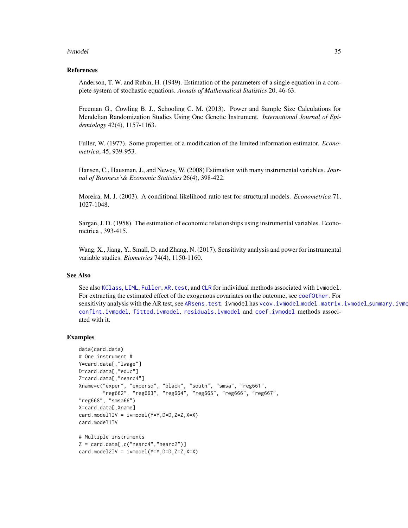#### <span id="page-34-0"></span>ivmodel 35

#### References

Anderson, T. W. and Rubin, H. (1949). Estimation of the parameters of a single equation in a complete system of stochastic equations. *Annals of Mathematical Statistics* 20, 46-63.

Freeman G., Cowling B. J., Schooling C. M. (2013). Power and Sample Size Calculations for Mendelian Randomization Studies Using One Genetic Instrument. *International Journal of Epidemiology* 42(4), 1157-1163.

Fuller, W. (1977). Some properties of a modification of the limited information estimator. *Econometrica*, 45, 939-953.

Hansen, C., Hausman, J., and Newey, W. (2008) Estimation with many instrumental variables. *Journal of Business \& Economic Statistics* 26(4), 398-422.

Moreira, M. J. (2003). A conditional likelihood ratio test for structural models. *Econometrica* 71, 1027-1048.

Sargan, J. D. (1958). The estimation of economic relationships using instrumental variables. Econometrica , 393-415.

Wang, X., Jiang, Y., Small, D. and Zhang, N. (2017), Sensitivity analysis and power for instrumental variable studies. *Biometrics* 74(4), 1150-1160.

#### See Also

See also [KClass](#page-41-1), [LIML](#page-44-1), [Fuller](#page-24-1), [AR.test](#page-7-1), and [CLR](#page-17-1) for individual methods associated with ivmodel. For extracting the estimated effect of the exogenous covariates on the outcome, see [coefOther](#page-19-1). For sensitivity analysis with the AR test, see [ARsens.test](#page-12-1). ivmodel has [vcov.ivmodel](#page-54-1),[model.matrix.ivmodel](#page-45-1),summary.ivmo [confint.ivmodel](#page-20-1), [fitted.ivmodel](#page-23-1), [residuals.ivmodel](#page-50-1) and [coef.ivmodel](#page-18-1) methods associated with it.

```
data(card.data)
# One instrument #
Y=card.data[,"lwage"]
D=card.data[,"educ"]
Z=card.data[,"nearc4"]
Xname=c("exper", "expersq", "black", "south", "smsa", "reg661",
        "reg662", "reg663", "reg664", "reg665", "reg666", "reg667",
"reg668", "smsa66")
X=card.data[,Xname]
card.model1IV = ivmodel(Y=Y, D=D, Z=Z, X=X)card.model1IV
# Multiple instruments
Z = \text{card.data}, c("nearc4", "nearc2")card.model2IV = ivmodel(Y=Y,D=D,Z=Z,X=X)
```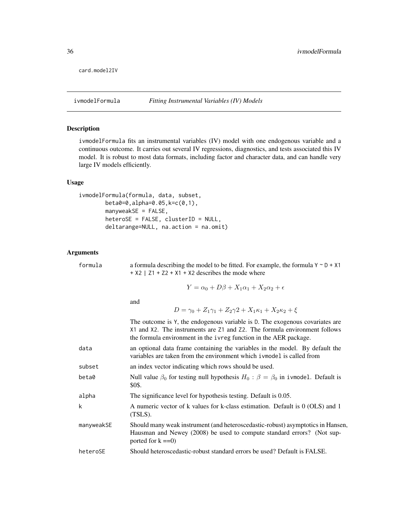```
card.model2IV
```
# Description

ivmodelFormula fits an instrumental variables (IV) model with one endogenous variable and a continuous outcome. It carries out several IV regressions, diagnostics, and tests associated this IV model. It is robust to most data formats, including factor and character data, and can handle very large IV models efficiently.

# Usage

```
ivmodelFormula(formula, data, subset,
       beta0=0,alpha=0.05,k=c(0,1),
       manyweakSE = FALSE,
       heteroSE = FALSE, clusterID = NULL,
       deltarange=NULL, na.action = na.omit)
```
# Arguments

| formula    | a formula describing the model to be fitted. For example, the formula $Y \sim D + X1$<br>$+ X2$   Z1 + Z2 + X1 + X2 describes the mode where                                                                                   |
|------------|--------------------------------------------------------------------------------------------------------------------------------------------------------------------------------------------------------------------------------|
|            | $Y = \alpha_0 + D\beta + X_1\alpha_1 + X_2\alpha_2 + \epsilon$                                                                                                                                                                 |
|            | and<br>$D = \gamma_0 + Z_1 \gamma_1 + Z_2 \gamma_2 + X_1 \kappa_1 + X_2 \kappa_2 + \xi$                                                                                                                                        |
|            | The outcome is Y, the endogenous variable is D. The exogenous covariates are<br>X1 and X2. The instruments are Z1 and Z2. The formula environment follows<br>the formula environment in the ivreg function in the AER package. |
| data       | an optional data frame containing the variables in the model. By default the<br>variables are taken from the environment which i vmodel is called from                                                                         |
| subset     | an index vector indicating which rows should be used.                                                                                                                                                                          |
| beta0      | Null value $\beta_0$ for testing null hypothesis $H_0$ : $\beta = \beta_0$ in ivmodel. Default is<br>\$0\$.                                                                                                                    |
| alpha      | The significance level for hypothesis testing. Default is 0.05.                                                                                                                                                                |
| k          | A numeric vector of k values for k-class estimation. Default is 0 (OLS) and 1<br>$(TSLS)$ .                                                                                                                                    |
| manyweakSE | Should many weak instrument (and heteroscedastic-robust) asymptotics in Hansen,<br>Hausman and Newey (2008) be used to compute standard errors? (Not sup-<br>ported for $k == 0$                                               |
| heteroSE   | Should heteroscedastic-robust standard errors be used? Default is FALSE.                                                                                                                                                       |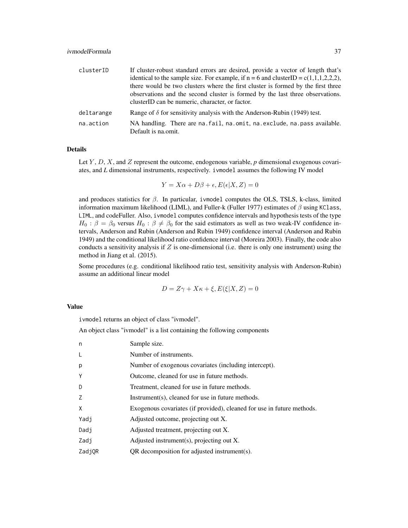| clusterID  | If cluster-robust standard errors are desired, provide a vector of length that's                                                 |
|------------|----------------------------------------------------------------------------------------------------------------------------------|
|            | identical to the sample size. For example, if $n = 6$ and clusterID = c(1,1,1,2,2,2),                                            |
|            | there would be two clusters where the first cluster is formed by the first three                                                 |
|            | observations and the second cluster is formed by the last three observations.<br>clusterID can be numeric, character, or factor. |
| deltarange | Range of $\delta$ for sensitivity analysis with the Anderson-Rubin (1949) test.                                                  |
| na.action  | NA handling. There are na. fail, na. omit, na. exclude, na. pass available.<br>Default is na.omit.                               |

#### Details

Let  $Y, D, X$ , and  $Z$  represent the outcome, endogenous variable,  $p$  dimensional exogenous covariates, and *L* dimensional instruments, respectively. ivmodel assumes the following IV model

$$
Y = X\alpha + D\beta + \epsilon, E(\epsilon|X, Z) = 0
$$

and produces statistics for  $\beta$ . In particular, i vmodel computes the OLS, TSLS, k-class, limited information maximum likelihood (LIML), and Fuller-k (Fuller 1977) estimates of  $\beta$  using KClass, LIML, and codeFuller. Also, ivmodel computes confidence intervals and hypothesis tests of the type  $H_0$ :  $\beta = \beta_0$  versus  $H_0$ :  $\beta \neq \beta_0$  for the said estimators as well as two weak-IV confidence intervals, Anderson and Rubin (Anderson and Rubin 1949) confidence interval (Anderson and Rubin 1949) and the conditional likelihood ratio confidence interval (Moreira 2003). Finally, the code also conducts a sensitivity analysis if  $Z$  is one-dimensional (i.e. there is only one instrument) using the method in Jiang et al. (2015).

Some procedures (e.g. conditional likelihood ratio test, sensitivity analysis with Anderson-Rubin) assume an additional linear model

$$
D = Z\gamma + X\kappa + \xi, E(\xi|X, Z) = 0
$$

#### Value

ivmodel returns an object of class "ivmodel".

An object class "ivmodel" is a list containing the following components

| n      | Sample size.                                                           |
|--------|------------------------------------------------------------------------|
| L      | Number of instruments.                                                 |
| p      | Number of exogenous covariates (including intercept).                  |
| Y      | Outcome, cleaned for use in future methods.                            |
| D      | Treatment, cleaned for use in future methods.                          |
| Z      | $Instrument(s)$ , cleaned for use in future methods.                   |
| X      | Exogenous covariates (if provided), cleaned for use in future methods. |
| Yadj   | Adjusted outcome, projecting out X.                                    |
| Dadj   | Adjusted treatment, projecting out X.                                  |
| Zadj   | Adjusted instrument(s), projecting out X.                              |
| ZadjOR | QR decomposition for adjusted instrument(s).                           |
|        |                                                                        |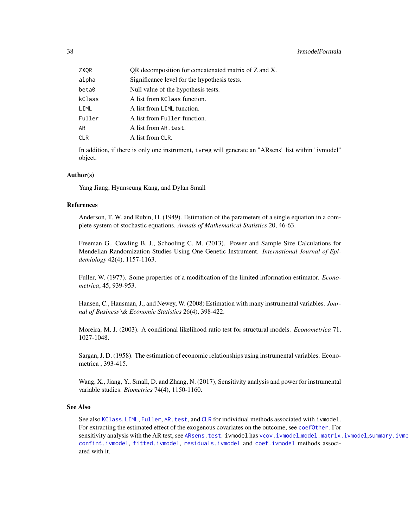<span id="page-37-0"></span>

| ZXQR   | QR decomposition for concatenated matrix of Z and X. |
|--------|------------------------------------------------------|
| alpha  | Significance level for the hypothesis tests.         |
| beta0  | Null value of the hypothesis tests.                  |
| kClass | A list from KC lass function.                        |
| LIML   | A list from LIML function.                           |
| Fuller | A list from Fuller function.                         |
| AR     | A list from AR. test.                                |
| CLR    | A list from CLR.                                     |
|        |                                                      |

In addition, if there is only one instrument, ivreg will generate an "ARsens" list within "ivmodel" object.

#### Author(s)

Yang Jiang, Hyunseung Kang, and Dylan Small

# References

Anderson, T. W. and Rubin, H. (1949). Estimation of the parameters of a single equation in a complete system of stochastic equations. *Annals of Mathematical Statistics* 20, 46-63.

Freeman G., Cowling B. J., Schooling C. M. (2013). Power and Sample Size Calculations for Mendelian Randomization Studies Using One Genetic Instrument. *International Journal of Epidemiology* 42(4), 1157-1163.

Fuller, W. (1977). Some properties of a modification of the limited information estimator. *Econometrica*, 45, 939-953.

Hansen, C., Hausman, J., and Newey, W. (2008) Estimation with many instrumental variables. *Journal of Business \& Economic Statistics* 26(4), 398-422.

Moreira, M. J. (2003). A conditional likelihood ratio test for structural models. *Econometrica* 71, 1027-1048.

Sargan, J. D. (1958). The estimation of economic relationships using instrumental variables. Econometrica , 393-415.

Wang, X., Jiang, Y., Small, D. and Zhang, N. (2017), Sensitivity analysis and power for instrumental variable studies. *Biometrics* 74(4), 1150-1160.

# See Also

See also [KClass](#page-41-1), [LIML](#page-44-1), [Fuller](#page-24-1), [AR.test](#page-7-1), and [CLR](#page-17-1) for individual methods associated with ivmodel. For extracting the estimated effect of the exogenous covariates on the outcome, see [coefOther](#page-19-1). For sensitivity analysis with the AR test, see [ARsens.test](#page-12-1). ivmodel has [vcov.ivmodel](#page-54-1),[model.matrix.ivmodel](#page-45-1),summary.ivmo [confint.ivmodel](#page-20-1), [fitted.ivmodel](#page-23-1), [residuals.ivmodel](#page-50-1) and [coef.ivmodel](#page-18-1) methods associated with it.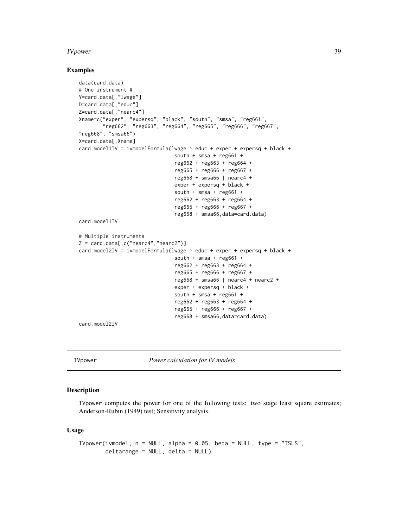#### <span id="page-38-0"></span>IVpower 39

#### Examples

```
data(card.data)
# One instrument #
Y=card.data[,"lwage"]
D=card.data[,"educ"]
Z=card.data[,"nearc4"]
Xname=c("exper", "expersq", "black", "south", "smsa", "reg661",
        "reg662", "reg663", "reg664", "reg665", "reg666", "reg667",
"reg668", "smsa66")
X=card.data[,Xname]
card.model1IV = ivmodelFormula(lwage ~ educ + exper + expersq + black +
                                south + smsa + reg661 +
                                reg662 + reg663 + reg664 +
                                reg665 + reg666 + reg667 +
                                reg668 + smsa66 | nearc4 +
                                exper + expersq + black +
                                south + smsa + reg661 +reg662 + reg663 + reg664 +
                                reg665 + reg666 + reg667 +
                                reg668 + smsa66,data=card.data)
card.model1IV
# Multiple instruments
Z = \text{card.data}[, c("nearc4", "nearc2")card.model2IV = ivmodelFormula(lwage ~ educ + exper + expersq + black +
                                south + smsa + reg661 +
                                reg662 + reg663 + reg664 +
                                reg665 + reg666 + reg667 +
                                reg668 + smsa66 | nearc4 + nearc2 +
                                exper + expersq + black +
                                south + smsa + reg661 +reg662 + reg663 + reg664 +
                                reg665 + reg666 + reg667 +
                                reg668 + smsa66,data=card.data)
```
card.model2IV

IVpower *Power calculation for IV models*

# Description

IVpower computes the power for one of the following tests: two stage least square estimates; Anderson-Rubin (1949) test; Sensitivity analysis.

#### Usage

```
IVpower(ivmodel, n = NULL, alpha = 0.05, beta = NULL, type = "TSLS",deltarange = NULL, delta = NULL)
```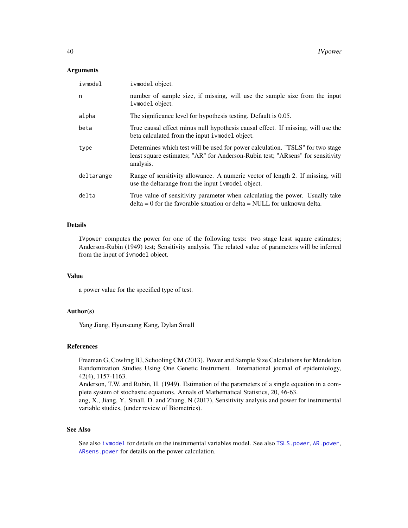#### <span id="page-39-0"></span>Arguments

| ivmodel    | ivmodel object.                                                                                                                                                               |
|------------|-------------------------------------------------------------------------------------------------------------------------------------------------------------------------------|
| n          | number of sample size, if missing, will use the sample size from the input<br>ivmodel object.                                                                                 |
| alpha      | The significance level for hypothesis testing. Default is 0.05.                                                                                                               |
| beta       | True causal effect minus null hypothesis causal effect. If missing, will use the<br>beta calculated from the input i vmodel object.                                           |
| type       | Determines which test will be used for power calculation. "TSLS" for two stage<br>least square estimates; "AR" for Anderson-Rubin test; "ARsens" for sensitivity<br>analysis. |
| deltarange | Range of sensitivity allowance. A numeric vector of length 2. If missing, will<br>use the deltarange from the input i vmodel object.                                          |
| delta      | True value of sensitivity parameter when calculating the power. Usually take<br>$delta = 0$ for the favorable situation or delta = NULL for unknown delta.                    |

# Details

IVpower computes the power for one of the following tests: two stage least square estimates; Anderson-Rubin (1949) test; Sensitivity analysis. The related value of parameters will be inferred from the input of ivmodel object.

#### Value

a power value for the specified type of test.

#### Author(s)

Yang Jiang, Hyunseung Kang, Dylan Small

#### References

Freeman G, Cowling BJ, Schooling CM (2013). Power and Sample Size Calculations for Mendelian Randomization Studies Using One Genetic Instrument. International journal of epidemiology, 42(4), 1157-1163.

Anderson, T.W. and Rubin, H. (1949). Estimation of the parameters of a single equation in a complete system of stochastic equations. Annals of Mathematical Statistics, 20, 46-63.

ang, X., Jiang, Y., Small, D. and Zhang, N (2017), Sensitivity analysis and power for instrumental variable studies, (under review of Biometrics).

# See Also

See also [ivmodel](#page-31-1) for details on the instrumental variables model. See also [TSLS.power](#page-51-1), [AR.power](#page-4-1), [ARsens.power](#page-8-1) for details on the power calculation.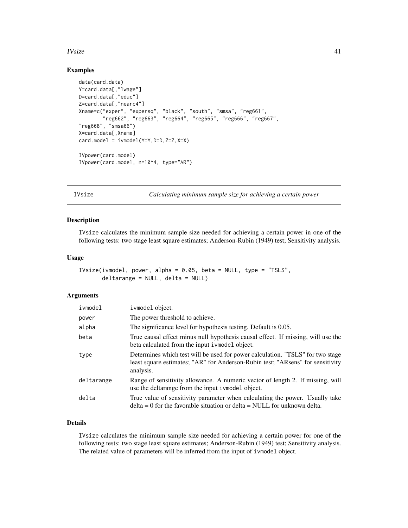#### <span id="page-40-0"></span> $I<sub>V</sub>$ size  $41$

# Examples

```
data(card.data)
Y=card.data[,"lwage"]
D=card.data[,"educ"]
Z=card.data[,"nearc4"]
Xname=c("exper", "expersq", "black", "south", "smsa", "reg661",
        "reg662", "reg663", "reg664", "reg665", "reg666", "reg667",
"reg668", "smsa66")
X=card.data[,Xname]
card.model = ivmodel(Y=Y, D=D, Z=Z, X=X)IVpower(card.model)
IVpower(card.model, n=10^4, type="AR")
```
IVsize *Calculating minimum sample size for achieving a certain power*

#### Description

IVsize calculates the minimum sample size needed for achieving a certain power in one of the following tests: two stage least square estimates; Anderson-Rubin (1949) test; Sensitivity analysis.

#### Usage

```
IVsize(ivmodel, power, alpha = 0.05, beta = NULL, type = "TSLS",
      deltarange = NULL, delta = NULL)
```
#### Arguments

| ivmodel    | ivmodel object.                                                                                                                                                               |
|------------|-------------------------------------------------------------------------------------------------------------------------------------------------------------------------------|
| power      | The power threshold to achieve.                                                                                                                                               |
| alpha      | The significance level for hypothesis testing. Default is 0.05.                                                                                                               |
| beta       | True causal effect minus null hypothesis causal effect. If missing, will use the<br>beta calculated from the input i vmodel object.                                           |
| type       | Determines which test will be used for power calculation. "TSLS" for two stage<br>least square estimates; "AR" for Anderson-Rubin test; "ARsens" for sensitivity<br>analysis. |
| deltarange | Range of sensitivity allowance. A numeric vector of length 2. If missing, will<br>use the deltarange from the input i vmodel object.                                          |
| delta      | True value of sensitivity parameter when calculating the power. Usually take<br>$delta = 0$ for the favorable situation or $delta = NULL$ for unknown delta.                  |

# Details

IVsize calculates the minimum sample size needed for achieving a certain power for one of the following tests: two stage least square estimates; Anderson-Rubin (1949) test; Sensitivity analysis. The related value of parameters will be inferred from the input of ivmodel object.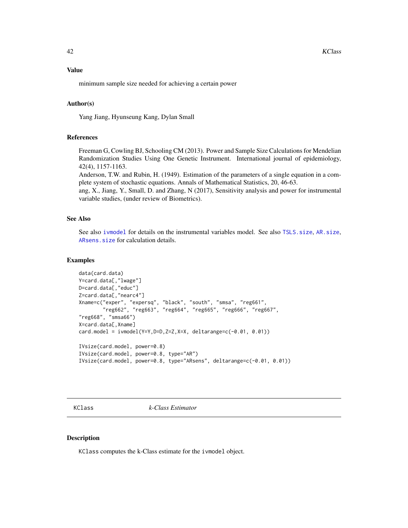<span id="page-41-0"></span>minimum sample size needed for achieving a certain power

#### Author(s)

Yang Jiang, Hyunseung Kang, Dylan Small

#### References

Freeman G, Cowling BJ, Schooling CM (2013). Power and Sample Size Calculations for Mendelian Randomization Studies Using One Genetic Instrument. International journal of epidemiology, 42(4), 1157-1163.

Anderson, T.W. and Rubin, H. (1949). Estimation of the parameters of a single equation in a complete system of stochastic equations. Annals of Mathematical Statistics, 20, 46-63.

ang, X., Jiang, Y., Small, D. and Zhang, N (2017), Sensitivity analysis and power for instrumental variable studies, (under review of Biometrics).

# See Also

See also [ivmodel](#page-31-1) for details on the instrumental variables model. See also [TSLS.size](#page-53-1), [AR.size](#page-6-1), [ARsens.size](#page-10-1) for calculation details.

#### Examples

```
data(card.data)
Y=card.data[,"lwage"]
D=card.data[,"educ"]
Z=card.data[,"nearc4"]
Xname=c("exper", "expersq", "black", "south", "smsa", "reg661",
        "reg662", "reg663", "reg664", "reg665", "reg666", "reg667",
"reg668", "smsa66")
X=card.data[,Xname]
card.model = ivmodel(Y=Y,D=D,Z=Z,X=X, deltarange=c(-0.01, 0.01))
IVsize(card.model, power=0.8)
IVsize(card.model, power=0.8, type="AR")
IVsize(card.model, power=0.8, type="ARsens", deltarange=c(-0.01, 0.01))
```
<span id="page-41-1"></span>KClass *k-Class Estimator*

#### Description

KClass computes the k-Class estimate for the ivmodel object.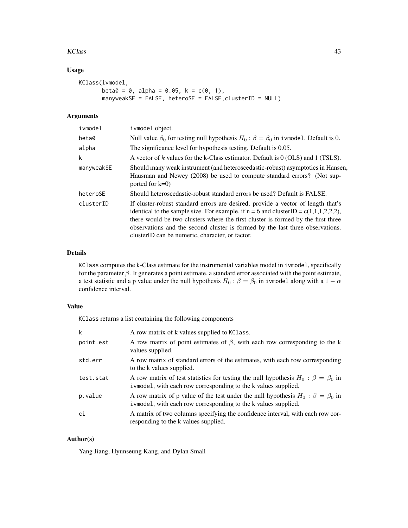#### KClass **43**

# Usage

```
KClass(ivmodel,
      beta = 0, alpha = 0.05, k = c(0, 1),
      manyweakSE = FALSE, heteroSE = FALSE,clusterID = NULL)
```
# Arguments

| ivmodel    | ivmodel object.                                                                                                                                                                                                                                                                                                                                                                                   |
|------------|---------------------------------------------------------------------------------------------------------------------------------------------------------------------------------------------------------------------------------------------------------------------------------------------------------------------------------------------------------------------------------------------------|
| beta0      | Null value $\beta_0$ for testing null hypothesis $H_0$ : $\beta = \beta_0$ in ivmodel. Default is 0.                                                                                                                                                                                                                                                                                              |
| alpha      | The significance level for hypothesis testing. Default is 0.05.                                                                                                                                                                                                                                                                                                                                   |
| k          | A vector of k values for the k-Class estimator. Default is $0$ (OLS) and 1 (TSLS).                                                                                                                                                                                                                                                                                                                |
| manyweakSE | Should many weak instrument (and heteroscedastic-robust) asymptotics in Hansen,<br>Hausman and Newey (2008) be used to compute standard errors? (Not sup-<br>ported for $k=0$ )                                                                                                                                                                                                                   |
| heteroSE   | Should heteroscedastic-robust standard errors be used? Default is FALSE.                                                                                                                                                                                                                                                                                                                          |
| clusterID  | If cluster-robust standard errors are desired, provide a vector of length that's<br>identical to the sample size. For example, if $n = 6$ and clusterID = c(1,1,1,2,2,2),<br>there would be two clusters where the first cluster is formed by the first three<br>observations and the second cluster is formed by the last three observations.<br>clusterID can be numeric, character, or factor. |

# Details

KClass computes the k-Class estimate for the instrumental variables model in ivmodel, specifically for the parameter  $\beta$ . It generates a point estimate, a standard error associated with the point estimate, a test statistic and a p value under the null hypothesis  $H_0$  :  $\beta = \beta_0$  in ivmodel along with a 1 –  $\alpha$ confidence interval.

#### Value

KClass returns a list containing the following components

| k         | A row matrix of k values supplied to KClass.                                                                                                                    |
|-----------|-----------------------------------------------------------------------------------------------------------------------------------------------------------------|
| point.est | A row matrix of point estimates of $\beta$ , with each row corresponding to the k<br>values supplied.                                                           |
| std.err   | A row matrix of standard errors of the estimates, with each row corresponding<br>to the k values supplied.                                                      |
| test.stat | A row matrix of test statistics for testing the null hypothesis $H_0$ : $\beta = \beta_0$ in<br>i vmodel, with each row corresponding to the k values supplied. |
| p.value   | A row matrix of p value of the test under the null hypothesis $H_0$ : $\beta = \beta_0$ in<br>i vmodel, with each row corresponding to the k values supplied.   |
| ci        | A matrix of two columns specifying the confidence interval, with each row cor-<br>responding to the k values supplied.                                          |

# Author(s)

Yang Jiang, Hyunseung Kang, and Dylan Small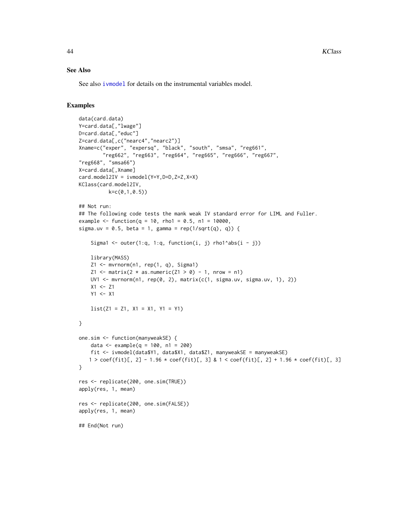#### <span id="page-43-0"></span>See Also

See also [ivmodel](#page-31-1) for details on the instrumental variables model.

```
data(card.data)
Y=card.data[,"lwage"]
D=card.data[,"educ"]
Z=card.data[,c("nearc4","nearc2")]
Xname=c("exper", "expersq", "black", "south", "smsa", "reg661",
         "reg662", "reg663", "reg664", "reg665", "reg666", "reg667",
"reg668", "smsa66")
X=card.data[,Xname]
card.model2IV = ivmodel(Y=Y,D=D,Z=Z,X=X)
KClass(card.model2IV,
          k=c(0,1,0.5)## Not run:
## The following code tests the mank weak IV standard error for LIML and Fuller.
example \le function(q = 10, rho1 = 0.5, n1 = 10000,
sigma.uv = 0.5, beta = 1, gamma = rep(1/sqrt(q), q)) {
    Sigma1 <- outer(1:q, 1:q, function(i, j) rho1^abs(i - j))
    library(MASS)
    Z1 \leq m \text{vrrnorm}(n1, rep(1, q), Signa1)Z1 <- matrix(2 \times as.numeric(Z1 > 0) - 1, nrow = n1)
    UV1 <- mvrnorm(n1, rep(0, 2), matrix(c(1, sigma.uv, sigma.uv, 1), 2))
    X1 <- Z1
    Y1 < - X1list(21 = 21, X1 = X1, Y1 = Y1)}
one.sim <- function(manyweakSE) {
    data \le example(q = 100, n1 = 200)
    fit <- ivmodel(data$Y1, data$X1, data$Z1, manyweakSE = manyweakSE)
   1 > \text{coeff}(\text{fit})[, 2] - 1.96 * \text{coeff}(\text{fit})[, 3] & 1 < \text{coeff}(\text{fit})[, 2] + 1.96 * \text{coeff}(\text{fit})[, 3]
}
res <- replicate(200, one.sim(TRUE))
apply(res, 1, mean)
res <- replicate(200, one.sim(FALSE))
apply(res, 1, mean)
## End(Not run)
```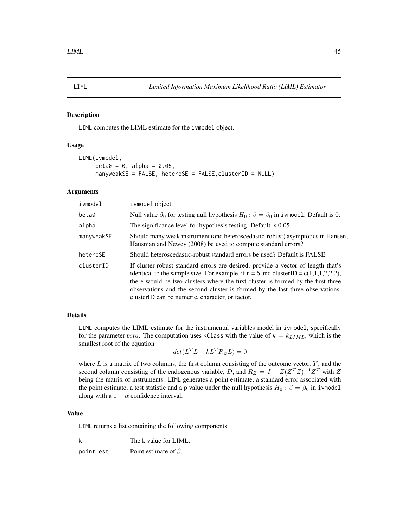#### Description

LIML computes the LIML estimate for the ivmodel object.

#### Usage

```
LIML(ivmodel,
     beta = 0, alpha = 0.05,
     manyweakSE = FALSE, heteroSE = FALSE,clusterID = NULL)
```
# Arguments

| ivmodel    | ivmodel object.                                                                                                                                                                                                                                                                                                                                                                                   |
|------------|---------------------------------------------------------------------------------------------------------------------------------------------------------------------------------------------------------------------------------------------------------------------------------------------------------------------------------------------------------------------------------------------------|
| beta0      | Null value $\beta_0$ for testing null hypothesis $H_0$ : $\beta = \beta_0$ in ivmodel. Default is 0.                                                                                                                                                                                                                                                                                              |
| alpha      | The significance level for hypothesis testing. Default is 0.05.                                                                                                                                                                                                                                                                                                                                   |
| manyweakSE | Should many weak instrument (and heteroscedastic-robust) asymptotics in Hansen,<br>Hausman and Newey (2008) be used to compute standard errors?                                                                                                                                                                                                                                                   |
| heteroSE   | Should heteroscedastic-robust standard errors be used? Default is FALSE.                                                                                                                                                                                                                                                                                                                          |
| clusterID  | If cluster-robust standard errors are desired, provide a vector of length that's<br>identical to the sample size. For example, if $n = 6$ and clusterID = c(1,1,1,2,2,2),<br>there would be two clusters where the first cluster is formed by the first three<br>observations and the second cluster is formed by the last three observations.<br>clusterID can be numeric, character, or factor. |

# Details

LIML computes the LIML estimate for the instrumental variables model in ivmodel, specifically for the parameter beta. The computation uses KClass with the value of  $k = k_{LIML}$ , which is the smallest root of the equation

$$
det(L^T L - kL^T R_Z L) = 0
$$

where  $L$  is a matrix of two columns, the first column consisting of the outcome vector,  $Y$ , and the second column consisting of the endogenous variable, D, and  $R_Z = I - Z(Z^T Z)^{-1} Z^T$  with Z being the matrix of instruments. LIML generates a point estimate, a standard error associated with the point estimate, a test statistic and a p value under the null hypothesis  $H_0$ :  $\beta = \beta_0$  in ivmodel along with a  $1 - \alpha$  confidence interval.

#### Value

LIML returns a list containing the following components

| k         | The k value for LIML.       |
|-----------|-----------------------------|
| point.est | Point estimate of $\beta$ . |

<span id="page-44-1"></span><span id="page-44-0"></span>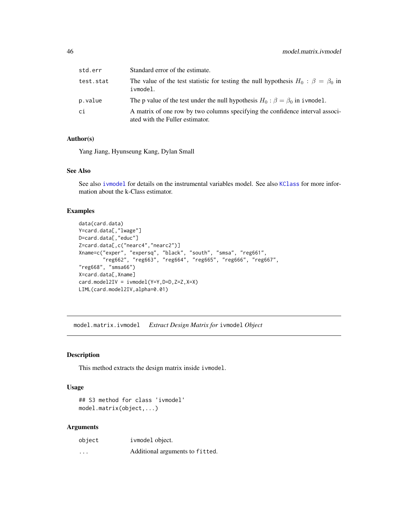<span id="page-45-0"></span>

| std.err   | Standard error of the estimate.                                                                                  |
|-----------|------------------------------------------------------------------------------------------------------------------|
| test.stat | The value of the test statistic for testing the null hypothesis $H_0$ : $\beta = \beta_0$ in<br>ivmodel.         |
| p.value   | The p value of the test under the null hypothesis $H_0$ : $\beta = \beta_0$ in ivmodel.                          |
| сi        | A matrix of one row by two columns specifying the confidence interval associ-<br>ated with the Fuller estimator. |

# Author(s)

Yang Jiang, Hyunseung Kang, Dylan Small

#### See Also

See also [ivmodel](#page-31-1) for details on the instrumental variables model. See also [KClass](#page-41-1) for more information about the k-Class estimator.

#### Examples

```
data(card.data)
Y=card.data[,"lwage"]
D=card.data[,"educ"]
Z=card.data[,c("nearc4","nearc2")]
Xname=c("exper", "expersq", "black", "south", "smsa", "reg661",
        "reg662", "reg663", "reg664", "reg665", "reg666", "reg667",
"reg668", "smsa66")
X=card.data[,Xname]
card.model2IV = ivmodel(Y=Y,D=D,Z=Z,X=X)
LIML(card.model2IV,alpha=0.01)
```
<span id="page-45-1"></span>model.matrix.ivmodel *Extract Design Matrix for* ivmodel *Object*

#### Description

This method extracts the design matrix inside ivmodel.

#### Usage

```
## S3 method for class 'ivmodel'
model.matrix(object,...)
```
#### Arguments

| object  | ivmodel object.                 |
|---------|---------------------------------|
| $\cdot$ | Additional arguments to fitted. |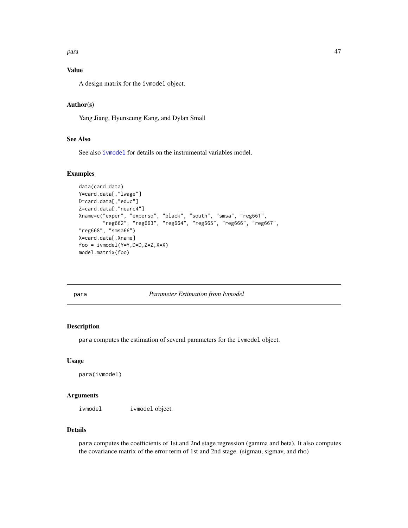#### <span id="page-46-0"></span>para terminal di Afrika Sepanjang di Bandara. Kabupatèn Kabupatèn Kabupatèn Kabupatèn Kabupatèn Kabupatèn Kabu

# Value

A design matrix for the ivmodel object.

# Author(s)

Yang Jiang, Hyunseung Kang, and Dylan Small

# See Also

See also [ivmodel](#page-31-1) for details on the instrumental variables model.

# Examples

```
data(card.data)
Y=card.data[,"lwage"]
D=card.data[,"educ"]
Z=card.data[,"nearc4"]
Xname=c("exper", "expersq", "black", "south", "smsa", "reg661",
        "reg662", "reg663", "reg664", "reg665", "reg666", "reg667",
"reg668", "smsa66")
X=card.data[,Xname]
foo = ivmodel(Y=Y,D=D,Z=Z,X=X)
model.matrix(foo)
```
para *Parameter Estimation from Ivmodel*

# Description

para computes the estimation of several parameters for the ivmodel object.

#### Usage

para(ivmodel)

# Arguments

ivmodel ivmodel object.

# Details

para computes the coefficients of 1st and 2nd stage regression (gamma and beta). It also computes the covariance matrix of the error term of 1st and 2nd stage. (sigmau, sigmav, and rho)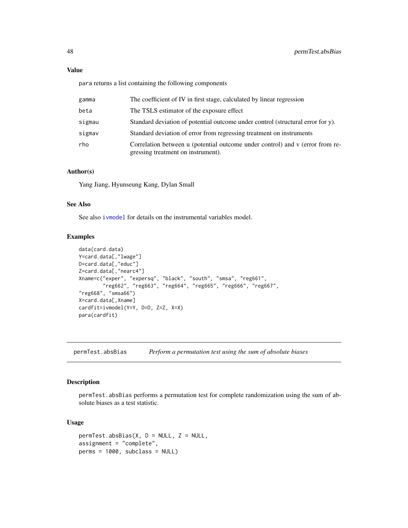# <span id="page-47-0"></span>Value

para returns a list containing the following components

| gamma  | The coefficient of IV in first stage, calculated by linear regression                                               |
|--------|---------------------------------------------------------------------------------------------------------------------|
| beta   | The TSLS estimator of the exposure effect                                                                           |
| sigmau | Standard deviation of potential outcome under control (structural error for y).                                     |
| sigmav | Standard deviation of error from regressing treatment on instruments                                                |
| rho    | Correlation between u (potential outcome under control) and v (error from re-<br>gressing treatment on instrument). |

# Author(s)

Yang Jiang, Hyunseung Kang, Dylan Small

#### See Also

See also [ivmodel](#page-31-1) for details on the instrumental variables model.

#### Examples

```
data(card.data)
Y=card.data[,"lwage"]
D=card.data[,"educ"]
Z=card.data[,"nearc4"]
Xname=c("exper", "expersq", "black", "south", "smsa", "reg661",
        "reg662", "reg663", "reg664", "reg665", "reg666", "reg667",
"reg668", "smsa66")
X=card.data[,Xname]
cardfit=ivmodel(Y=Y, D=D, Z=Z, X=X)
para(cardfit)
```
permTest.absBias *Perform a permutation test using the sum of absolute biases*

# Description

permTest.absBias performs a permutation test for complete randomization using the sum of absolute biases as a test statistic.

# Usage

```
permTest.absBias(X, D = NULL, Z = NULL,
assignment = "complete",
perms = 1000, subclass = NULL)
```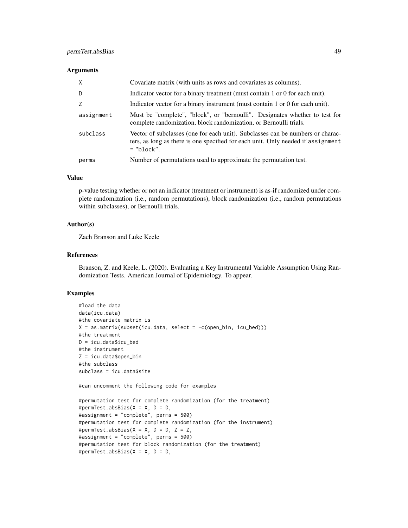#### **Arguments**

| $\mathsf{X}$ | Covariate matrix (with units as rows and covariates as columns).                                                                                                                   |  |
|--------------|------------------------------------------------------------------------------------------------------------------------------------------------------------------------------------|--|
| D            | Indicator vector for a binary treatment (must contain 1 or 0 for each unit).                                                                                                       |  |
| 7            | Indicator vector for a binary instrument (must contain 1 or 0 for each unit).                                                                                                      |  |
| assignment   | Must be "complete", "block", or "bernoulli". Designates whether to test for<br>complete randomization, block randomization, or Bernoulli trials.                                   |  |
| subclass     | Vector of subclasses (one for each unit). Subclasses can be numbers or charac-<br>ters, as long as there is one specified for each unit. Only needed if assignment<br>$=$ "block". |  |
| perms        | Number of permutations used to approximate the permutation test.                                                                                                                   |  |

#### Value

p-value testing whether or not an indicator (treatment or instrument) is as-if randomized under complete randomization (i.e., random permutations), block randomization (i.e., random permutations within subclasses), or Bernoulli trials.

#### Author(s)

Zach Branson and Luke Keele

#### References

Branson, Z. and Keele, L. (2020). Evaluating a Key Instrumental Variable Assumption Using Randomization Tests. American Journal of Epidemiology. To appear.

# Examples

```
#load the data
data(icu.data)
#the covariate matrix is
X = as_matrix(subset(icu.data, select = -c(open_bin, icu_bed)))#the treatment
D = icu.data$icu_bed
#the instrument
Z = icu.data$open_bin
#the subclass
subclass = icu.data$site
```
#can uncomment the following code for examples

```
#permutation test for complete randomization (for the treatment)
#permTest.absBias(X = X, D = D,
#assignment = "complete", perms = 500)
#permutation test for complete randomization (for the instrument)
#permTest.absBias(X = X, D = D, Z = Z,
#assignment = "complete", perms = 500)
#permutation test for block randomization (for the treatment)
#permTest.absBias(X = X, D = D,
```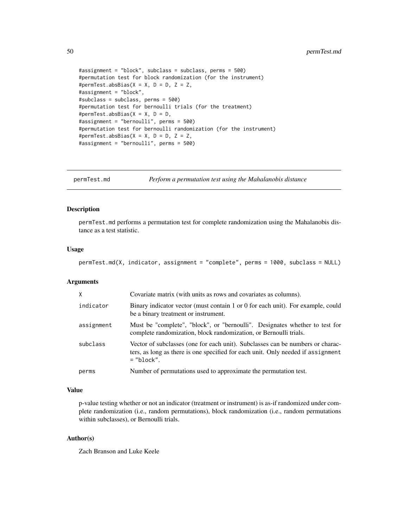```
#assignment = "block", subclass = subclass, perms = 500)
#permutation test for block randomization (for the instrument)
#permTest.absBias(X = X, D = D, Z = Z,
#assignment = "block",
#subclass = subclass, perms = 500)
#permutation test for bernoulli trials (for the treatment)
#permTest.absBias(X = X, D = D,
#assignment = "bernoulli", perms = 500)
#permutation test for bernoulli randomization (for the instrument)
#permTest.absBias(X = X, D = D, Z = Z,
#assignment = "bernoulli", perms = 500)
```
permTest.md *Perform a permutation test using the Mahalanobis distance*

#### Description

permTest.md performs a permutation test for complete randomization using the Mahalanobis distance as a test statistic.

#### Usage

```
permTest.md(X, indicator, assignment = "complete", perms = 1000, subclass = NULL)
```
#### **Arguments**

| X          | Covariate matrix (with units as rows and covariates as columns).                                                                                                                   |
|------------|------------------------------------------------------------------------------------------------------------------------------------------------------------------------------------|
| indicator  | Binary indicator vector (must contain 1 or 0 for each unit). For example, could<br>be a binary treatment or instrument.                                                            |
| assignment | Must be "complete", "block", or "bernoulli". Designates whether to test for<br>complete randomization, block randomization, or Bernoulli trials.                                   |
| subclass   | Vector of subclasses (one for each unit). Subclasses can be numbers or charac-<br>ters, as long as there is one specified for each unit. Only needed if assignment<br>$=$ "block". |
| perms      | Number of permutations used to approximate the permutation test.                                                                                                                   |

#### Value

p-value testing whether or not an indicator (treatment or instrument) is as-if randomized under complete randomization (i.e., random permutations), block randomization (i.e., random permutations within subclasses), or Bernoulli trials.

# Author(s)

Zach Branson and Luke Keele

<span id="page-49-0"></span>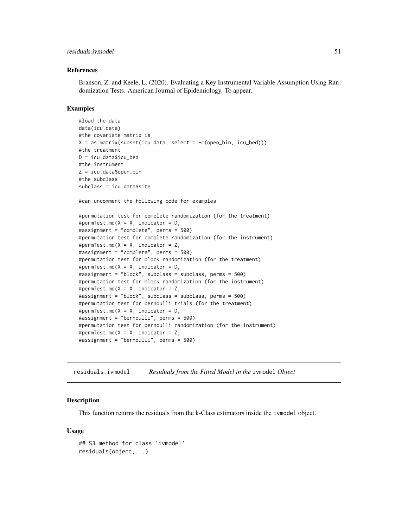#### <span id="page-50-0"></span>residuals.ivmodel 51

#### References

Branson, Z. and Keele, L. (2020). Evaluating a Key Instrumental Variable Assumption Using Randomization Tests. American Journal of Epidemiology. To appear.

#### Examples

```
#load the data
data(icu.data)
#the covariate matrix is
X = as_matrix(subset(icu.data, select = -c(open_bin, icu_bed)))#the treatment
D = icu.data$icu_bed
#the instrument
Z = icu.data$open_bin
#the subclass
subclass = icu.data$site
#can uncomment the following code for examples
#permutation test for complete randomization (for the treatment)
#permTest.md(X = X, indicator = D,
#assignment = "complete", perms = 500)
#permutation test for complete randomization (for the instrument)
#permTest.md(X = X, indicator = Z,
#assignment = "complete", perms = 500)
#permutation test for block randomization (for the treatment)
#permTest.md(X = X, indicator = D,
#assignment = "block", subclass = subclass, perms = 500)
#permutation test for block randomization (for the instrument)
#permTest.md(X = X, indicator = Z,
#assignment = "block", subclass = subclass, perms = 500)
#permutation test for bernoulli trials (for the treatment)
#permTest.md(X = X, indicator = D,
#assignment = "bernoulli", perms = 500)
#permutation test for bernoulli randomization (for the instrument)
#permTest.md(X = X, indicator = Z,
#assignment = "bernoulli", perms = 500)
```
<span id="page-50-1"></span>residuals.ivmodel *Residuals from the Fitted Model in the* ivmodel *Object*

#### **Description**

This function returns the residuals from the k-Class estimators inside the ivmodel object.

#### Usage

```
## S3 method for class 'ivmodel'
residuals(object,...)
```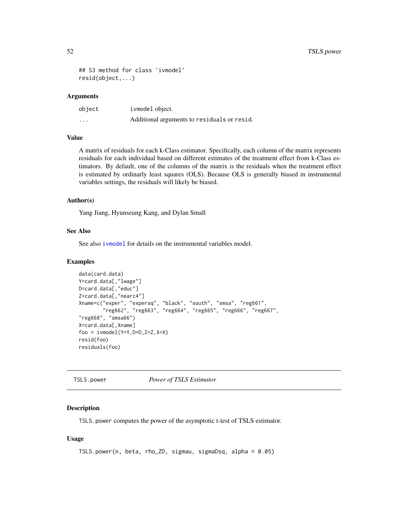```
## S3 method for class 'ivmodel'
resid(object,...)
```
#### Arguments

| object   | ivmodel object.                             |
|----------|---------------------------------------------|
| $\cdots$ | Additional arguments to residuals or resid. |

#### Value

A matrix of residuals for each k-Class estimator. Specifically, each column of the matrix represents residuals for each individual based on different estimates of the treatment effect from k-Class estimators. By default, one of the columns of the matrix is the residuals when the treatment effect is estimated by ordinarly least squares (OLS). Because OLS is generally biased in instrumental variables settings, the residuals will likely be biased.

#### Author(s)

Yang Jiang, Hyunseung Kang, and Dylan Small

# See Also

See also [ivmodel](#page-31-1) for details on the instrumental variables model.

#### Examples

```
data(card.data)
Y=card.data[,"lwage"]
D=card.data[,"educ"]
Z=card.data[,"nearc4"]
Xname=c("exper", "expersq", "black", "south", "smsa", "reg661",
        "reg662", "reg663", "reg664", "reg665", "reg666", "reg667",
"reg668", "smsa66")
X=card.data[,Xname]
foo = ivmodel(Y=Y,D=D,Z=Z,X=X)
resid(foo)
residuals(foo)
```
<span id="page-51-1"></span>TSLS.power *Power of TSLS Estimator*

#### Description

TSLS.power computes the power of the asymptotic t-test of TSLS estimator.

#### Usage

```
TSLS.power(n, beta, rho_ZD, sigmau, sigmaDsq, alpha = 0.05)
```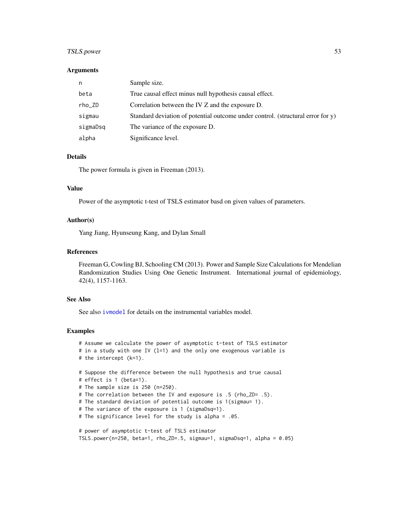# TSLS.power 53

#### Arguments

| n        | Sample size.                                                                    |
|----------|---------------------------------------------------------------------------------|
| beta     | True causal effect minus null hypothesis causal effect.                         |
| rho_ZD   | Correlation between the IV Z and the exposure D.                                |
| sigmau   | Standard deviation of potential outcome under control. (structural error for y) |
| sigmaDsq | The variance of the exposure D.                                                 |
| alpha    | Significance level.                                                             |

# Details

The power formula is given in Freeman (2013).

#### Value

Power of the asymptotic t-test of TSLS estimator basd on given values of parameters.

# Author(s)

Yang Jiang, Hyunseung Kang, and Dylan Small

#### References

Freeman G, Cowling BJ, Schooling CM (2013). Power and Sample Size Calculations for Mendelian Randomization Studies Using One Genetic Instrument. International journal of epidemiology, 42(4), 1157-1163.

#### See Also

See also [ivmodel](#page-31-1) for details on the instrumental variables model.

```
# Assume we calculate the power of asymptotic t-test of TSLS estimator
# in a study with one IV (1=1) and the only one exogenous variable is
# the intercept (k=1).
# Suppose the difference between the null hypothesis and true causal
# effect is 1 (beta=1).
# The sample size is 250 (n=250).
# The correlation between the IV and exposure is .5 (rho_ZD= .5).
# The standard deviation of potential outcome is 1(sigmau= 1).
# The variance of the exposure is 1 (sigmaDsq=1).
# The significance level for the study is alpha = .05.
# power of asymptotic t-test of TSLS estimator
TSLS.power(n=250, beta=1, rho_ZD=.5, sigmau=1, sigmaDsq=1, alpha = 0.05)
```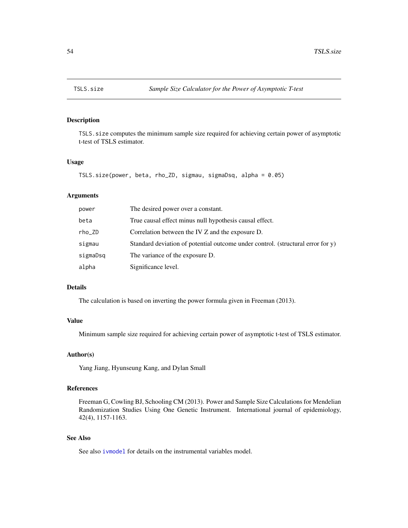<span id="page-53-1"></span><span id="page-53-0"></span>

# Description

TSLS.size computes the minimum sample size required for achieving certain power of asymptotic t-test of TSLS estimator.

# Usage

```
TSLS.size(power, beta, rho_ZD, sigmau, sigmaDsq, alpha = 0.05)
```
# Arguments

| power    | The desired power over a constant.                                              |
|----------|---------------------------------------------------------------------------------|
| beta     | True causal effect minus null hypothesis causal effect.                         |
| rho_ZD   | Correlation between the IV Z and the exposure D.                                |
| sigmau   | Standard deviation of potential outcome under control. (structural error for y) |
| sigmaDsq | The variance of the exposure D.                                                 |
| alpha    | Significance level.                                                             |

#### Details

The calculation is based on inverting the power formula given in Freeman (2013).

# Value

Minimum sample size required for achieving certain power of asymptotic t-test of TSLS estimator.

#### Author(s)

Yang Jiang, Hyunseung Kang, and Dylan Small

# References

Freeman G, Cowling BJ, Schooling CM (2013). Power and Sample Size Calculations for Mendelian Randomization Studies Using One Genetic Instrument. International journal of epidemiology, 42(4), 1157-1163.

# See Also

See also [ivmodel](#page-31-1) for details on the instrumental variables model.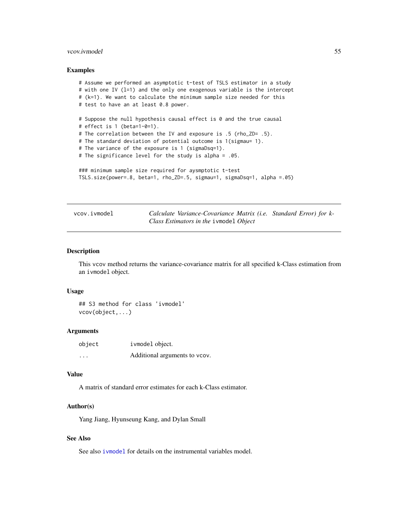#### <span id="page-54-0"></span>vcov.ivmodel 55

#### Examples

```
# Assume we performed an asymptotic t-test of TSLS estimator in a study
# with one IV (l=1) and the only one exogenous variable is the intercept
# (k=1). We want to calculate the minimum sample size needed for this
# test to have an at least 0.8 power.
# Suppose the null hypothesis causal effect is 0 and the true causal
# effect is 1 (beta=1-0=1).
# The correlation between the IV and exposure is .5 (rho_ZD= .5).
# The standard deviation of potential outcome is 1(sigmau= 1).
# The variance of the exposure is 1 (sigmaDsq=1).
# The significance level for the study is alpha = .05.
### minimum sample size required for aysmptotic t-test
TSLS.size(power=.8, beta=1, rho_ZD=.5, sigmau=1, sigmaDsq=1, alpha =.05)
```
<span id="page-54-1"></span>vcov.ivmodel *Calculate Variance-Covariance Matrix (i.e. Standard Error) for k-Class Estimators in the* ivmodel *Object*

#### Description

This vcov method returns the variance-covariance matrix for all specified k-Class estimation from an ivmodel object.

#### Usage

## S3 method for class 'ivmodel' vcov(object,...)

#### Arguments

| object | ivmodel object.               |
|--------|-------------------------------|
| .      | Additional arguments to vcov. |

#### Value

A matrix of standard error estimates for each k-Class estimator.

#### Author(s)

Yang Jiang, Hyunseung Kang, and Dylan Small

# See Also

See also *i* vmodel for details on the instrumental variables model.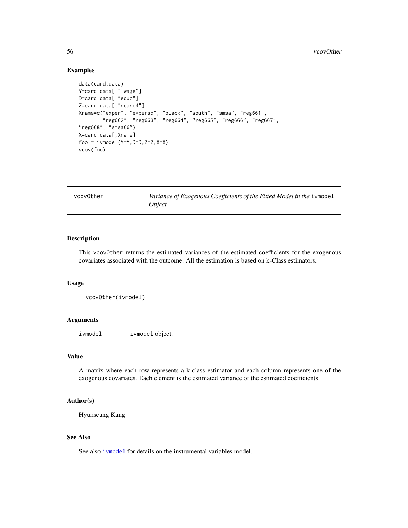# Examples

```
data(card.data)
Y=card.data[,"lwage"]
D=card.data[,"educ"]
Z=card.data[,"nearc4"]
Xname=c("exper", "expersq", "black", "south", "smsa", "reg661",
        "reg662", "reg663", "reg664", "reg665", "reg666", "reg667",
"reg668", "smsa66")
X=card.data[,Xname]
foo = ivmodel(Y=Y,D=D,Z=Z,X=X)
vcov(foo)
```
vcovOther *Variance of Exogenous Coefficients of the Fitted Model in the* ivmodel *Object*

# Description

This vcovOther returns the estimated variances of the estimated coefficients for the exogenous covariates associated with the outcome. All the estimation is based on k-Class estimators.

#### Usage

```
vcovOther(ivmodel)
```
#### Arguments

ivmodel ivmodel object.

# Value

A matrix where each row represents a k-class estimator and each column represents one of the exogenous covariates. Each element is the estimated variance of the estimated coefficients.

#### Author(s)

Hyunseung Kang

# See Also

See also [ivmodel](#page-31-1) for details on the instrumental variables model.

<span id="page-55-0"></span>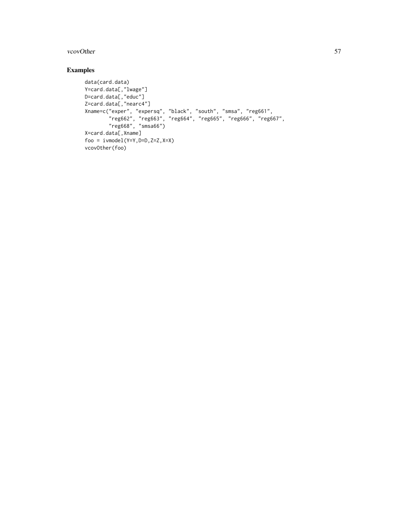#### vcovOther 57

```
data(card.data)
Y=card.data[,"lwage"]
D=card.data[,"educ"]
Z=card.data[,"nearc4"]
Xname=c("exper", "expersq", "black", "south", "smsa", "reg661",
        "reg662", "reg663", "reg664", "reg665", "reg666", "reg667",
        "reg668", "smsa66")
X=card.data[,Xname]
foo = ivmodel(Y=Y,D=D,Z=Z,X=X)
vcovOther(foo)
```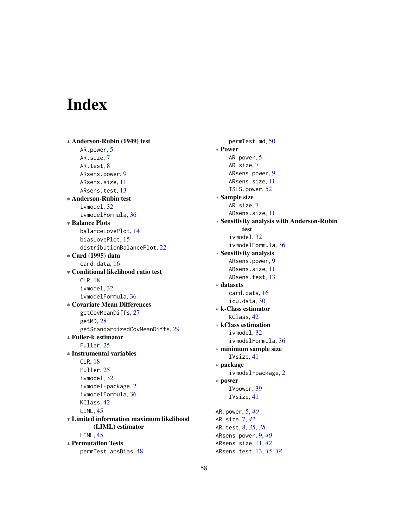# <span id="page-57-0"></span>Index

∗ Anderson-Rubin (1949) test AR.power, [5](#page-4-0) AR.size, [7](#page-6-0) AR.test, [8](#page-7-0) ARsens.power, [9](#page-8-0) ARsens.size, [11](#page-10-0) ARsens.test, [13](#page-12-0) ∗ Anderson-Rubin test ivmodel, [32](#page-31-0) ivmodelFormula, [36](#page-35-0) ∗ Balance Plots balanceLovePlot, [14](#page-13-0) biasLovePlot, [15](#page-14-0) distributionBalancePlot, [22](#page-21-0) ∗ Card (1995) data card.data, [16](#page-15-0) ∗ Conditional likelihood ratio test CLR, [18](#page-17-0) ivmodel, [32](#page-31-0) ivmodelFormula, [36](#page-35-0) ∗ Covariate Mean Differences getCovMeanDiffs, [27](#page-26-0) getMD, [28](#page-27-0) getStandardizedCovMeanDiffs, [29](#page-28-0) ∗ Fuller-k estimator Fuller, [25](#page-24-0) ∗ Instrumental variables CLR, [18](#page-17-0) Fuller, [25](#page-24-0) ivmodel, [32](#page-31-0) ivmodel-package, [2](#page-1-0) ivmodelFormula, [36](#page-35-0) KClass, [42](#page-41-0) LIML, [45](#page-44-0) ∗ Limited information maximum likelihood (LIML) estimator LIML, [45](#page-44-0) ∗ Permutation Tests permTest.absBias, [48](#page-47-0)

permTest.md, [50](#page-49-0) ∗ Power AR.power, [5](#page-4-0) AR.size, [7](#page-6-0) ARsens.power, [9](#page-8-0) ARsens.size, [11](#page-10-0) TSLS.power, [52](#page-51-0) ∗ Sample size AR.size, [7](#page-6-0) ARsens.size, [11](#page-10-0) ∗ Sensitivity analysis with Anderson-Rubin test ivmodel, [32](#page-31-0) ivmodelFormula, [36](#page-35-0) ∗ Sensitivity analysis ARsens.power, [9](#page-8-0) ARsens.size, [11](#page-10-0) ARsens.test, [13](#page-12-0) ∗ datasets card.data, [16](#page-15-0) icu.data, [30](#page-29-0) ∗ k-Class estimator KClass, [42](#page-41-0) ∗ kClass estimation ivmodel, [32](#page-31-0) ivmodelFormula, [36](#page-35-0) ∗ minimum sample size IVsize, [41](#page-40-0) ∗ package ivmodel-package, [2](#page-1-0) ∗ power IVpower, [39](#page-38-0) IVsize, [41](#page-40-0) AR.power, [5,](#page-4-0) *[40](#page-39-0)* AR.size, [7,](#page-6-0) *[42](#page-41-0)* AR.test, [8,](#page-7-0) *[35](#page-34-0)*, *[38](#page-37-0)* ARsens.power, [9,](#page-8-0) *[40](#page-39-0)* ARsens.size, [11,](#page-10-0) *[42](#page-41-0)* ARsens.test, [13,](#page-12-0) *[35](#page-34-0)*, *[38](#page-37-0)*